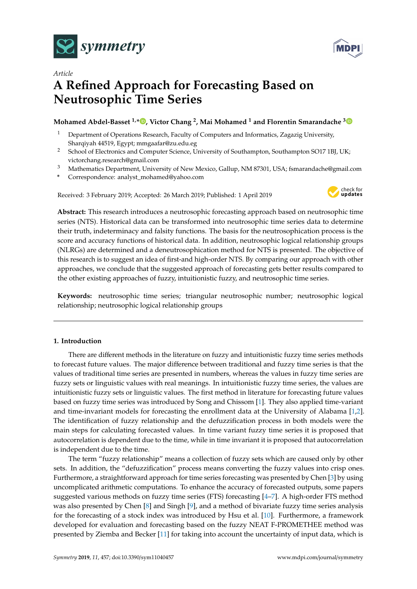



# *Article* **A Refined Approach for Forecasting Based on Neutrosophic Time Series**

## **Mohamed Abdel-Basset 1,[\\*](https://orcid.org/0000-0002-5572-0721) , Victor Chang <sup>2</sup> , Mai Mohamed <sup>1</sup> and Florentin Smarandache [3](https://orcid.org/0000-0002-5560-5926)**

- <sup>1</sup> Department of Operations Research, Faculty of Computers and Informatics, Zagazig University, Sharqiyah 44519, Egypt; mmgaafar@zu.edu.eg
- <sup>2</sup> School of Electronics and Computer Science, University of Southampton, Southampton SO17 1BJ, UK; victorchang.research@gmail.com
- <sup>3</sup> Mathematics Department, University of New Mexico, Gallup, NM 87301, USA; fsmarandache@gmail.com
- **\*** Correspondence: analyst\_mohamed@yahoo.com

Received: 3 February 2019; Accepted: 26 March 2019; Published: 1 April 2019



**Abstract:** This research introduces a neutrosophic forecasting approach based on neutrosophic time series (NTS). Historical data can be transformed into neutrosophic time series data to determine their truth, indeterminacy and falsity functions. The basis for the neutrosophication process is the score and accuracy functions of historical data. In addition, neutrosophic logical relationship groups (NLRGs) are determined and a deneutrosophication method for NTS is presented. The objective of this research is to suggest an idea of first-and high-order NTS. By comparing our approach with other approaches, we conclude that the suggested approach of forecasting gets better results compared to the other existing approaches of fuzzy, intuitionistic fuzzy, and neutrosophic time series.

**Keywords:** neutrosophic time series; triangular neutrosophic number; neutrosophic logical relationship; neutrosophic logical relationship groups

## **1. Introduction**

There are different methods in the literature on fuzzy and intuitionistic fuzzy time series methods to forecast future values. The major difference between traditional and fuzzy time series is that the values of traditional time series are presented in numbers, whereas the values in fuzzy time series are fuzzy sets or linguistic values with real meanings. In intuitionistic fuzzy time series, the values are intuitionistic fuzzy sets or linguistic values. The first method in literature for forecasting future values based on fuzzy time series was introduced by Song and Chissom [\[1\]](#page-20-0). They also applied time-variant and time-invariant models for forecasting the enrollment data at the University of Alabama [\[1,](#page-20-0)[2\]](#page-20-1). The identification of fuzzy relationship and the defuzzification process in both models were the main steps for calculating forecasted values. In time variant fuzzy time series it is proposed that autocorrelation is dependent due to the time, while in time invariant it is proposed that autocorrelation is independent due to the time.

The term "fuzzy relationship" means a collection of fuzzy sets which are caused only by other sets. In addition, the "defuzzification" process means converting the fuzzy values into crisp ones. Furthermore, a straightforward approach for time series forecasting was presented by Chen [\[3\]](#page-20-2) by using uncomplicated arithmetic computations. To enhance the accuracy of forecasted outputs, some papers suggested various methods on fuzzy time series (FTS) forecasting [\[4–](#page-20-3)[7\]](#page-20-4). A high-order FTS method was also presented by Chen [\[8\]](#page-20-5) and Singh [\[9\]](#page-20-6), and a method of bivariate fuzzy time series analysis for the forecasting of a stock index was introduced by Hsu et al. [\[10\]](#page-20-7). Furthermore, a framework developed for evaluation and forecasting based on the fuzzy NEAT F-PROMETHEE method was presented by Ziemba and Becker [\[11\]](#page-20-8) for taking into account the uncertainty of input data, which is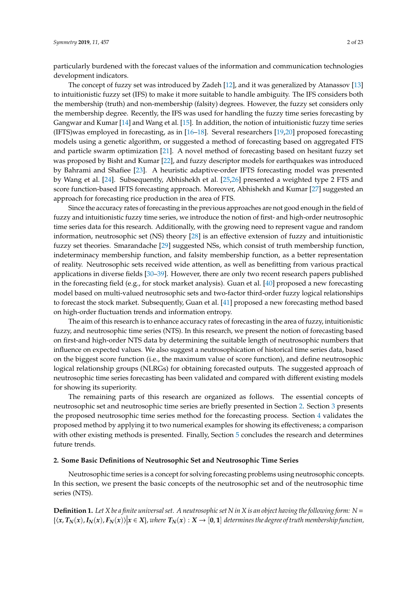particularly burdened with the forecast values of the information and communication technologies development indicators.

The concept of fuzzy set was introduced by Zadeh [\[12\]](#page-20-9), and it was generalized by Atanassov [\[13\]](#page-20-10) to intuitionistic fuzzy set (IFS) to make it more suitable to handle ambiguity. The IFS considers both the membership (truth) and non-membership (falsity) degrees. However, the fuzzy set considers only the membership degree. Recently, the IFS was used for handling the fuzzy time series forecasting by Gangwar and Kumar [\[14\]](#page-21-0) and Wang et al. [\[15\]](#page-21-1). In addition, the notion of intuitionistic fuzzy time series (IFTS)was employed in forecasting, as in [\[16–](#page-21-2)[18\]](#page-21-3). Several researchers [\[19,](#page-21-4)[20\]](#page-21-5) proposed forecasting models using a genetic algorithm, or suggested a method of forecasting based on aggregated FTS and particle swarm optimization [\[21\]](#page-21-6). A novel method of forecasting based on hesitant fuzzy set was proposed by Bisht and Kumar [\[22\]](#page-21-7), and fuzzy descriptor models for earthquakes was introduced by Bahrami and Shafiee [\[23\]](#page-21-8). A heuristic adaptive-order IFTS forecasting model was presented by Wang et al. [\[24\]](#page-21-9). Subsequently, Abhishekh et al. [\[25](#page-21-10)[,26\]](#page-21-11) presented a weighted type 2 FTS and score function-based IFTS forecasting approach. Moreover, Abhishekh and Kumar [\[27\]](#page-21-12) suggested an approach for forecasting rice production in the area of FTS.

Since the accuracy rates of forecasting in the previous approaches are not good enough in the field of fuzzy and intuitionistic fuzzy time series, we introduce the notion of first- and high-order neutrosophic time series data for this research. Additionally, with the growing need to represent vague and random information, neutrosophic set (NS) theory [\[28\]](#page-21-13) is an effective extension of fuzzy and intuitionistic fuzzy set theories. Smarandache [\[29\]](#page-21-14) suggested NSs, which consist of truth membership function, indeterminacy membership function, and falsity membership function, as a better representation of reality. Neutrosophic sets received wide attention, as well as benefitting from various practical applications in diverse fields [\[30–](#page-21-15)[39\]](#page-22-0). However, there are only two recent research papers published in the forecasting field (e.g., for stock market analysis). Guan et al. [\[40\]](#page-22-1) proposed a new forecasting model based on multi-valued neutrosophic sets and two-factor third-order fuzzy logical relationships to forecast the stock market. Subsequently, Guan et al. [\[41\]](#page-22-2) proposed a new forecasting method based on high-order fluctuation trends and information entropy.

The aim of this research is to enhance accuracy rates of forecasting in the area of fuzzy, intuitionistic fuzzy, and neutrosophic time series (NTS). In this research, we present the notion of forecasting based on first-and high-order NTS data by determining the suitable length of neutrosophic numbers that influence on expected values. We also suggest a neutrosophication of historical time series data, based on the biggest score function (i.e., the maximum value of score function), and define neutrosophic logical relationship groups (NLRGs) for obtaining forecasted outputs. The suggested approach of neutrosophic time series forecasting has been validated and compared with different existing models for showing its superiority.

The remaining parts of this research are organized as follows. The essential concepts of neutrosophic set and neutrosophic time series are briefly presented in Section [2.](#page-1-0) Section [3](#page-3-0) presents the proposed neutrosophic time series method for the forecasting process. Section [4](#page-5-0) validates the proposed method by applying it to two numerical examples for showing its effectiveness; a comparison with other existing methods is presented. Finally, Section [5](#page-20-11) concludes the research and determines future trends.

#### <span id="page-1-0"></span>**2. Some Basic Definitions of Neutrosophic Set and Neutrosophic Time Series**

Neutrosophic time series is a concept for solving forecasting problems using neutrosophic concepts. In this section, we present the basic concepts of the neutrosophic set and of the neutrosophic time series (NTS).

**Definition 1.** *Let X be a finite universal set. A neutrosophic set N in X is an object having the following form: N* =  $\{\langle x, T_N(x), I_N(x), F_N(x)\rangle | x \in X\}$ , where  $T_N(x): X \to [0,1]$  determines the degree of truth membership function,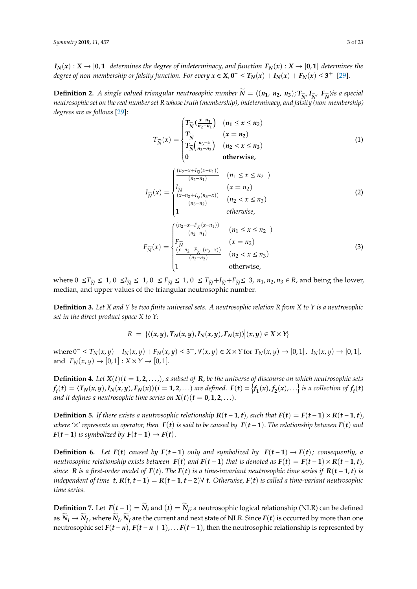$I_N(x) : X \to [0,1]$  *determines the degree of indeterminacy, and function*  $F_N(x) : X \to [0,1]$  *determines the degree of non-membership or falsity function. For every*  $x \in X$ *,*  $0^- \le T_N(x) + I_N(x) + F_N(x) \le 3^+$  [\[29\]](#page-21-14).

**Definition 2.** A single valued triangular neutrosophic number  $\widetilde{N} = \langle (n_1, n_2, n_3); T_{\widetilde{N}'} I_{\widetilde{N}'} I_{\widetilde{N}} \rangle$  is a special *neutrosophic set on the real number set R whose truth (membership), indeterminacy, and falsity (non-membership) degrees are as follows* [\[29\]](#page-21-14):

$$
T_{\widetilde{N}}(x) = \begin{cases} T_{\widetilde{N}}\left(\frac{x-n_1}{n_2-n_1}\right) & (n_1 \le x \le n_2) \\ T_{\widetilde{N}} & (x = n_2) \\ T_{\widetilde{N}}\left(\frac{n_3-x}{n_3-n_2}\right) & (n_2 < x \le n_3) \\ 0 & \text{otherwise,} \end{cases}
$$
(1)  

$$
I_{\widetilde{N}}(x) = \begin{cases} \frac{(n_2-x+I_{\widetilde{N}}(x-n_1))}{(n_2-n_1)} & (n_1 \le x \le n_2) \\ \frac{I_{\widetilde{N}}}{(n_2-n_1)} & (x = n_2) \\ \frac{(x-n_2+I_{\widetilde{N}}(n_3-x))}{(n_3-n_2)} & (n_2 < x \le n_3) \\ 1 & \text{otherwise,} \end{cases}
$$
(2)

$$
F_{\widetilde{N}}(x) = \begin{cases} \frac{(n_2 - x + F_{\widetilde{N}}(x - n_1))}{(n_2 - n_1)} & (n_1 \le x \le n_2) \\ F_{\widetilde{N}}(x) & (x = n_2) \\ \frac{(x - n_2 + F_{\widetilde{N}}(n_3 - x))}{(n_3 - n_2)} & (n_2 < x \le n_3) \\ 1 & \text{otherwise,} \end{cases} \tag{3}
$$

where  $0 \le T_{\widetilde{N}} \le 1$ ,  $0 \le I_{\widetilde{N}} \le 1$ ,  $0 \le F_{\widetilde{N}} \le 1$ ,  $0 \le T_{\widetilde{N}} + I_{\widetilde{N}} + F_{\widetilde{N}} \le 3$ ,  $n_1, n_2, n_3 \in R$ , and being the lower, median, and upper values of the triangular neutrosophic number.

**Definition 3.** *Let X and Y be two finite universal sets. A neutrosophic relation R from X to Y is a neutrosophic set in the direct product space X to Y:*

$$
R = \{ \langle (x,y), T_N(x,y), I_N(x,y), F_N(x) \rangle | (x,y) \in X \times Y \}
$$

where  $0^- \le T_N(x, y) + I_N(x, y) + F_N(x, y) \le 3^+$ ,  $\forall (x, y) \in X \times Y$  for  $T_N(x, y) \to [0, 1]$ ,  $I_N(x, y) \to [0, 1]$ , and  $F_N(x, y) \to [0, 1] : X \times Y \to [0, 1]$ .

**Definition 4.** Let  $X(t)$   $(t = 1, 2, ...)$ , a subset of **R**, be the universe of discourse on which neutrosophic sets  $f_i(t) = \langle T_N(x,y), I_N(x,y), F_N(x) \rangle (i=1,2,\ldots)$  are defined.  $F(t) = \big\{f_1(x), f_2(x), \ldots\big\}$  is a collection of  $f_i(t)$ *and it defines a neutrosophic time series on*  $X(t)$  ( $t = 0, 1, 2, \ldots$ ).

**Definition 5.** If there exists a neutrosophic relationship  $R(t-1,t)$ , such that  $F(t) = F(t-1) \times R(t-1,t)$ , *where*  $\times$ *' represents an operator, then*  $F(t)$  *is said to be caused by*  $F(t-1)$ *. The relationship between*  $F(t)$  *and F*( $t$  − **1**) *is symbolized by*  $F(t-1) \rightarrow F(t)$ .

**Definition 6.** Let  $F(t)$  caused by  $F(t-1)$  only and symbolized by  $F(t-1) \rightarrow F(t)$ ; consequently, a neutrosophic relationship exists between  $F(t)$  and  $F(t-1)$  that is denoted as  $F(t) = F(t-1) \times R(t-1,t)$ , *since* **R** is a first-order model of  $F(t)$ . The  $F(t)$  is a time-invariant neutrosophic time series if  $R(t-1,t)$  is *independent of time*  $t$ ,  $R(t, t-1) = R(t-1, t-2)$  $\forall$   $t$ . Otherwise,  $F(t)$  is called a time-variant neutrosophic *time series.*

**Definition** 7. Let  $F(t-1) = \widetilde{N}_i$  and  $(t) = \widetilde{N}_j$ ; a neutrosophic logical relationship (NLR) can be defined as  $\widetilde N_i\to\widetilde N_j$  , where  $\widetilde N_i$  ,  $\widetilde N_j$  are the current and next state of NLR. Since  $F(t)$  is occurred by more than one neutrosophic set  $F(t - n)$ ,  $F(t - n + 1)$ , . . .  $F(t - 1)$ , then the neutrosophic relationship is represented by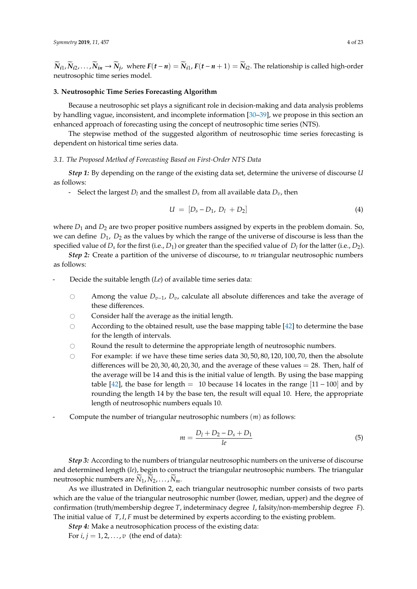$\widetilde{N}_{i1},\widetilde{N}_{i2},\ldots,\widetilde{N}_{in}\to \widetilde{N}_{j}$ , where  $F(t-n)=\widetilde{N}_{i1}$ ,  $F(t-n+1)=\widetilde{N}_{i2}$ . The relationship is called high-order neutrosophic time series model.

#### <span id="page-3-0"></span>**3. Neutrosophic Time Series Forecasting Algorithm**

Because a neutrosophic set plays a significant role in decision-making and data analysis problems by handling vague, inconsistent, and incomplete information [\[30–](#page-21-15)[39\]](#page-22-0), we propose in this section an enhanced approach of forecasting using the concept of neutrosophic time series (NTS).

The stepwise method of the suggested algorithm of neutrosophic time series forecasting is dependent on historical time series data.

#### *3.1. The Proposed Method of Forecasting Based on First-Order NTS Data*

*Step 1:* By depending on the range of the existing data set, determine the universe of discourse *U* as follows:

- Select the largest  $D_l$  and the smallest  $D_s$  from all available data  $D_v$ , then

$$
U = [D_s - D_1, D_l + D_2]
$$
 (4)

where  $D_1$  and  $D_2$  are two proper positive numbers assigned by experts in the problem domain. So, we can define  $D_1$ ,  $D_2$  as the values by which the range of the universe of discourse is less than the specified value of *D<sup>s</sup>* for the first (i.e., *D*1) or greater than the specified value of *D<sup>l</sup>* for the latter (i.e., *D*2).

*Step 2:* Create a partition of the universe of discourse, to *m* triangular neutrosophic numbers as follows:

- Decide the suitable length (*Le*) of available time series data:
	- # Among the value *Dv*−1, *Dv*, calculate all absolute differences and take the average of these differences.
	- $\circ$  Consider half the average as the initial length.<br> $\circ$  According to the obtained result, use the base
	- According to the obtained result, use the base mapping table  $[42]$  to determine the base for the length of intervals.
	- $\circ$  Round the result to determine the appropriate length of neutrosophic numbers.<br> $\circ$  For example: if we have these time series data 30, 50, 80, 120, 100, 70, then the
	- For example: if we have these time series data 30, 50, 80, 120, 100, 70, then the absolute differences will be  $20, 30, 40, 20, 30$ , and the average of these values  $= 28$ . Then, half of the average will be 14 and this is the initial value of length. By using the base mapping table [\[42\]](#page-22-3), the base for length = 10 because 14 locates in the range [11 – 100] and by rounding the length 14 by the base ten, the result will equal 10. Here, the appropriate length of neutrosophic numbers equals 10.
- Compute the number of triangular neutrosophic numbers (*m*) as follows:

$$
m = \frac{D_l + D_2 - D_s + D_1}{le}
$$
 (5)

*Step 3:* According to the numbers of triangular neutrosophic numbers on the universe of discourse and determined length (*le*), begin to construct the triangular neutrosophic numbers. The triangular neutrosophic numbers are  $N_1, N_2, \ldots, N_m$ .

As we illustrated in Definition 2, each triangular neutrosophic number consists of two parts which are the value of the triangular neutrosophic number (lower, median, upper) and the degree of confirmation (truth/membership degree *T*, indeterminacy degree *I*, falsity/non-membership degree *F*). The initial value of *T*, *I*, *F* must be determined by experts according to the existing problem.

*Step 4:* Make a neutrosophication process of the existing data:

For  $i, j = 1, 2, \ldots, v$  (the end of data):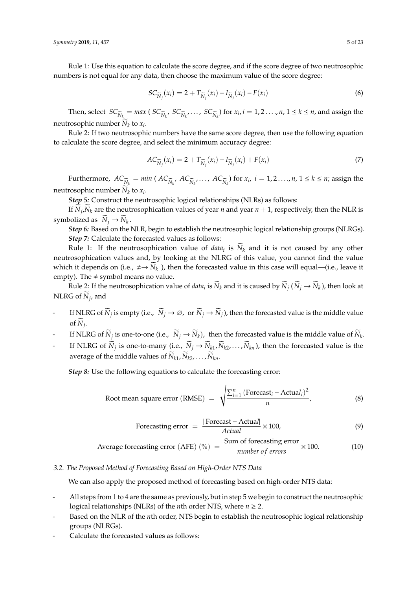*Symmetry* **2019**, *11*, 457 5 of 23

Rule 1: Use this equation to calculate the score degree, and if the score degree of two neutrosophic numbers is not equal for any data, then choose the maximum value of the score degree:

$$
SC_{\widetilde{N}_j}(x_i) = 2 + T_{\widetilde{N}_j}(x_i) - I_{\widetilde{N}_j}(x_i) - F(x_i)
$$
\n
$$
(6)
$$

Then, select  $SC_{\widetilde{N}_k} = max ( SC_{\widetilde{N}_k}$ ,  $SC_{\widetilde{N}_k}$ , ...,  $SC_{\widetilde{N}_k}$  for  $x_i$ ,  $i = 1, 2, ..., n$ ,  $1 \le k \le n$ , and assign the neutrosophic number  $N_k$  to  $x_i$ .

Rule 2: If two neutrosophic numbers have the same score degree, then use the following equation to calculate the score degree, and select the minimum accuracy degree:

$$
AC_{\widetilde{N}_j}(x_i) = 2 + T_{\widetilde{N}_j}(x_i) - I_{\widetilde{N}_j}(x_i) + F(x_i)
$$
\n<sup>(7)</sup>

Furthermore,  $AC_{\widetilde{N}_k} = min (AC_{\widetilde{N}_k}$ ,  $AC_{\widetilde{N}_k}$ , ...,  $AC_{\widetilde{N}_k}$  for  $x_i$ ,  $i = 1, 2, ..., n$ ,  $1 \le k \le n$ ; assign the neutrosophic number  $N_k$  to  $x_i$ .

*Step 5:* Construct the neutrosophic logical relationships (NLRs) as follows:

If  $N_j$ ,  $N_k$  are the neutrosophication values of year *n* and year *n* + 1, respectively, then the NLR is symbolized as  $\widetilde{N}_j \to \widetilde{N}_k$ .

*Step 6:* Based on the NLR, begin to establish the neutrosophic logical relationship groups (NLRGs). *Step 7:* Calculate the forecasted values as follows:

Rule 1: If the neutrosophication value of *data*<sub>*i*</sub> is  $N_k$  and it is not caused by any other neutrosophication values and, by looking at the NLRG of this value, you cannot find the value which it depends on (i.e.,  $\neq \rightarrow \widetilde{N}_k$ ), then the forecasted value in this case will equal—(i.e., leave it empty). The  $\neq$  symbol means no value.

Rule 2: If the neutrosophication value of *data*<sub>*i*</sub> is  $\widetilde{N}_k$  and it is caused by  $\widetilde{N}_j$  ( $\widetilde{N}_j \to \widetilde{N}_k$ ), then look at  $NLRG$  of  $N_j$ , and

- If NLRG of  $\widetilde{N}_j$  is empty (i.e.,  $\widetilde{N}_j \to \varnothing$ , or  $\widetilde{N}_j \to \widetilde{N}_j$ ), then the forecasted value is the middle value of  $N_j$ .
- If NLRG of  $\widetilde{N}_j$  is one-to-one (i.e.,  $\widetilde{N}_j \to \widetilde{N}_k$ ), then the forecasted value is the middle value of  $\widetilde{N}_k$ .
- If NLRG of  $\widetilde{N}_j$  is one-to-many (i.e.,  $\widetilde{N}_j \to \widetilde{N}_{k1}, \widetilde{N}_{k2}, \ldots, \widetilde{N}_{kn}$ ), then the forecasted value is the average of the middle values of  $N_{k1}$ ,  $N_{k2}$ , . . . ,  $N_{kn}$ .

*Step 8:* Use the following equations to calculate the forecasting error:

Root mean square error (RMSE) = 
$$
\sqrt{\frac{\sum_{i=1}^{n} (\text{Forecast}_i - \text{Actual}_i)^2}{n}}
$$
, (8)

Forecasting error = 
$$
\frac{|\text{Forecast} - \text{Actual}|}{\text{Actual}} \times 100,
$$
 (9)

Average forecasting error (AFE) (
$$
\%
$$
) =  $\frac{\text{Sum of forecasting error}}{\text{number of errors}} \times 100.$  (10)

## *3.2. The Proposed Method of Forecasting Based on High-Order NTS Data*

We can also apply the proposed method of forecasting based on high-order NTS data:

- All steps from 1 to 4 are the same as previously, but in step 5 we begin to construct the neutrosophic logical relationships (NLRs) of the *n*th order NTS, where *n* ≥ 2.
- Based on the NLR of the *n*th order, NTS begin to establish the neutrosophic logical relationship groups (NLRGs).
- Calculate the forecasted values as follows: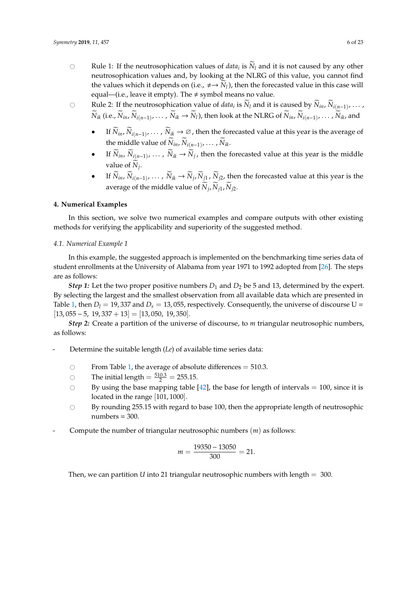- $\circ$  Rule 1: If the neutrosophication values of *data*<sub>*i*</sub> is  $N_l$  and it is not caused by any other neutrosophication values and, by looking at the NLRG of this value, you cannot find the values which it depends on (i.e.,  $\neq \rightarrow \widetilde{N}_l$ ), then the forecasted value in this case will equal—(i.e., leave it empty). The  $\neq$  symbol means no value.
- $\circ$  Rule 2: If the neutrosophication value of *data*<sub>*i*</sub> is *N*<sub>*l*</sub> and it is caused by *N*<sub>*in*</sub>, *N*<sub>*i*(*n*−1)</sub>, ...,  $\widetilde{N}_{ik}$  (i.e.,  $\widetilde{N}_{in}$ ,  $\widetilde{N}_{i(n-1)}$ ,  $\ldots$  ,  $\widetilde{N}_{ik}$   $\rightarrow$   $\widetilde{N}_{l}$ ), then look at the NLRG of  $\widetilde{N}_{in}$ ,  $\widetilde{N}_{i(n-1)}$ ,  $\ldots$  ,  $\widetilde{N}_{ik}$ , and
	- If  $\widetilde{N}_{in}$ ,  $\widetilde{N}_{i(n-1)}$ , ...,  $\widetilde{N}_{ik}$  → ∅, then the forecasted value at this year is the average of the middle value of  $N_{in}$ ,  $N_{i(n-1)}$ ,  $\dots$ ,  $N_{ik}$ .
	- If  $\widetilde{N}_{in}$ ,  $\widetilde{N}_{i(n-1)}$ , ...,  $\widetilde{N}_{ik}$  →  $\widetilde{N}_j$ , then the forecasted value at this year is the middle value of  $N_j$ .
	- If  $\widetilde{N}_{in}$ ,  $\widetilde{N}_{i(n-1)}$ , ...,  $\widetilde{N}_{ik}$  →  $\widetilde{N}_{j}$ ,  $\widetilde{N}_{j1}$ ,  $\widetilde{N}_{j2}$ , then the forecasted value at this year is the average of the middle value of  $N_j$ ,  $N_{j1}$ ,  $N_{j2}$ .

#### <span id="page-5-0"></span>**4. Numerical Examples**

In this section, we solve two numerical examples and compare outputs with other existing methods for verifying the applicability and superiority of the suggested method.

#### *4.1. Numerical Example 1*

In this example, the suggested approach is implemented on the benchmarking time series data of student enrollments at the University of Alabama from year 1971 to 1992 adopted from [\[26\]](#page-21-11). The steps are as follows:

*Step 1:* Let the two proper positive numbers  $D_1$  and  $D_2$  be 5 and 13, determined by the expert. By selecting the largest and the smallest observation from all available data which are presented in Table [1,](#page-11-0) then  $D_l = 19,337$  and  $D_s = 13,055$ , respectively. Consequently, the universe of discourse U =  $[13, 055 - 5, 19, 337 + 13] = [13, 050, 19, 350].$ 

*Step 2:* Create a partition of the universe of discourse, to *m* triangular neutrosophic numbers, as follows:

- Determine the suitable length (*Le*) of available time series data:
	- Trom Table [1,](#page-11-0) the average of absolute differences = 510.3.<br>  $\bigcirc$  The initial length =  $\frac{510.3}{2}$  = 255.15.
	- $\circ$  The initial length  $=\frac{510.3}{2} = 255.15$ .
	- $\circ$  By using the base mapping table [\[42\]](#page-22-3), the base for length of intervals = 100, since it is located in the range [101, 1000].
	- $\circ$  By rounding 255.15 with regard to base 100, then the appropriate length of neutrosophic  $numbers = 300.$
- Compute the number of triangular neutrosophic numbers (*m*) as follows:

$$
m = \frac{19350 - 13050}{300} = 21.
$$

Then, we can partition *U* into 21 triangular neutrosophic numbers with length = 300.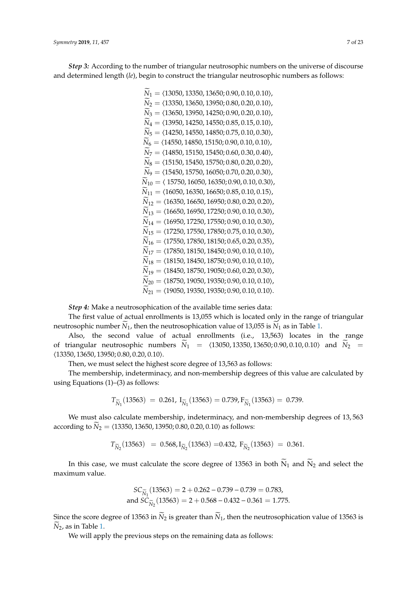*Symmetry* **2019**, *11*, 457 7 of 23

*Step 3:* According to the number of triangular neutrosophic numbers on the universe of discourse and determined length (*le*), begin to construct the triangular neutrosophic numbers as follows:

$$
\widetilde{N}_1 = \langle 13050, 13350, 13650, 0.90, 0.10, 0.10 \rangle, \n\widetilde{N}_2 = \langle 13350, 13650, 13950, 0.80, 0.20, 0.10 \rangle, \n\widetilde{N}_3 = \langle 13650, 13950, 14250, 0.90, 0.20, 0.10 \rangle, \n\widetilde{N}_4 = \langle 13950, 14250, 14550, 0.85, 0.15, 0.10 \rangle, \n\widetilde{N}_5 = \langle 14250, 14550, 14850, 0.75, 0.10, 0.30 \rangle, \n\widetilde{N}_6 = \langle 14550, 14850, 15150, 0.90, 0.10, 0.10 \rangle, \n\widetilde{N}_7 = \langle 14850, 15150, 15450, 0.90, 0.10, 0.10 \rangle, \n\widetilde{N}_8 = \langle 15150, 15450, 15750, 0.60, 0.30, 0.40 \rangle, \n\widetilde{N}_9 = \langle 15450, 15750, 16050, 0.20, 0.20 \rangle, \n\widetilde{N}_9 = \langle 15450, 15750, 16050, 0.20, 0.20 \rangle, \n\widetilde{N}_10 = \langle 15750, 16050, 16350, 0.90, 0.10, 0.30 \rangle, \n\widetilde{N}_11 = \langle 16050, 16350, 16650, 0.85, 0.10, 0.15 \rangle, \n\widetilde{N}_12 = \langle 16350, 16650, 16950, 0.80, 0.20, 0.20 \rangle, \n\widetilde{N}_13 = \langle 16650, 16950, 17250, 0.90, 0
$$

*Step 4:* Make a neutrosophication of the available time series data:

The first value of actual enrollments is 13,055 which is located only in the range of triangular neutrosophic number  $\bar{N}_1$ , then the neutrosophication value of 13,055 is  $\bar{N}_1$  as in Table [1.](#page-11-0)

Also, the second value of actual enrollments (i.e., 13,563) locates in the range of triangular neutrosophic numbers  $\widetilde{N}_1$  =  $\langle 13050, 13350, 13650, 0.90, 0.10, 0.10 \rangle$  and  $\widetilde{N}_2$  =  $(13350, 13650, 13950; 0.80, 0.20, 0.10).$ 

Then, we must select the highest score degree of 13,563 as follows:

The membership, indeterminacy, and non-membership degrees of this value are calculated by using Equations  $(1)$ – $(3)$  as follows:

$$
T_{\widetilde{N}_1}(13563) = 0.261, I_{\widetilde{N}_1}(13563) = 0.739, F_{\widetilde{N}_1}(13563) = 0.739.
$$

We must also calculate membership, indeterminacy, and non-membership degrees of 13, 563 according to  $\widetilde{N}_2 = \langle 13350, 13650, 13950, 0.80, 0.20, 0.10 \rangle$  as follows:

$$
T_{\widetilde{N}_2}(13563) = 0.568, I_{\widetilde{N}_2}(13563) = 0.432, F_{\widetilde{N}_2}(13563) = 0.361.
$$

In this case, we must calculate the score degree of 13563 in both  $\widetilde{N}_1$  and  $\widetilde{N}_2$  and select the maximum value.

$$
SC_{\widetilde{N}_1}(13563) = 2 + 0.262 - 0.739 - 0.739 = 0.783,
$$
  
and 
$$
SC_{\widetilde{N}_2}(13563) = 2 + 0.568 - 0.432 - 0.361 = 1.775.
$$

Since the score degree of 13563 in  $\widetilde{N}_2$  is greater than  $\widetilde{N}_1$ , then the neutrosophication value of 13563 is  $N<sub>2</sub>$ , as in Table [1.](#page-11-0)

We will apply the previous steps on the remaining data as follows: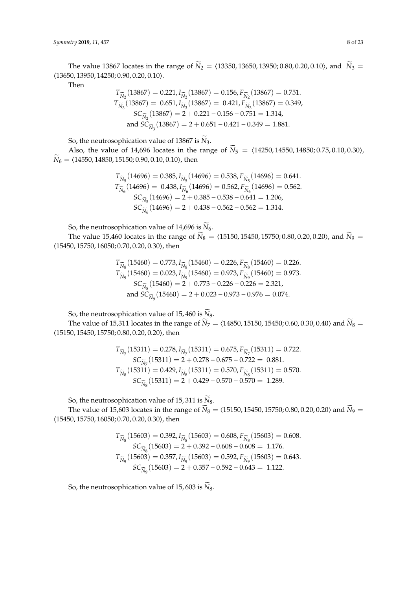The value 13867 locates in the range of  $\widetilde{N}_2 = \langle 13350, 13650, 13950; 0.80, 0.20, 0.10 \rangle$ , and  $\widetilde{N}_3 =$  $(13650, 13950, 14250, 0.90, 0.20, 0.10).$ 

Then

$$
T_{\widetilde{N}_2}(13867) = 0.221, I_{\widetilde{N}_2}(13867) = 0.156, F_{\widetilde{N}_2}(13867) = 0.751.
$$
  
\n
$$
T_{\widetilde{N}_3}(13867) = 0.651, I_{\widetilde{N}_3}(13867) = 0.421, F_{\widetilde{N}_3}(13867) = 0.349,
$$
  
\n
$$
SC_{\widetilde{N}_2}(13867) = 2 + 0.221 - 0.156 - 0.751 = 1.314,
$$
  
\nand  $SC_{\widetilde{N}_3}(13867) = 2 + 0.651 - 0.421 - 0.349 = 1.881.$ 

So, the neutrosophication value of 13867 is  $\widetilde{N}_3$ .

Also, the value of 14,696 locates in the range of  $\widetilde{N}_5 = \langle 14250, 14550, 14850, 0.75, 0.10, 0.30 \rangle$ ,  $\widetilde{N}_6 = \langle 14550, 14850, 15150, 0.90, 0.10, 0.10 \rangle$ , then

$$
T_{\widetilde{N}_5}(14696) = 0.385, I_{\widetilde{N}_5}(14696) = 0.538, F_{\widetilde{N}_5}(14696) = 0.641.
$$
  
\n
$$
T_{\widetilde{N}_6}(14696) = 0.438, I_{\widetilde{N}_6}(14696) = 0.562, F_{\widetilde{N}_6}(14696) = 0.562.
$$
  
\n
$$
SC_{\widetilde{N}_5}(14696) = 2 + 0.385 - 0.538 - 0.641 = 1.206,
$$
  
\n
$$
SC_{\widetilde{N}_6}(14696) = 2 + 0.438 - 0.562 - 0.562 = 1.314.
$$

So, the neutrosophication value of 14,696 is  $\widetilde{N}_6$ .

The value 15,460 locates in the range of  $\widetilde{N}_8 = \langle 15150, 15450, 15750, 0.80, 0.20, 0.20 \rangle$ , and  $\widetilde{N}_9 =$  $(15450, 15750, 16050; 0.70, 0.20, 0.30)$ , then

$$
T_{\widetilde{N}_8}(15460) = 0.773, I_{\widetilde{N}_8}(15460) = 0.226, F_{\widetilde{N}_8}(15460) = 0.226.
$$
  
\n
$$
T_{\widetilde{N}_9}(15460) = 0.023, I_{\widetilde{N}_9}(15460) = 0.973, F_{\widetilde{N}_9}(15460) = 0.973.
$$
  
\n
$$
SC_{\widetilde{N}_8}(15460) = 2 + 0.773 - 0.226 - 0.226 = 2.321,
$$
  
\nand 
$$
SC_{\widetilde{N}_9}(15460) = 2 + 0.023 - 0.973 - 0.976 = 0.074.
$$

So, the neutrosophication value of 15, 460 is  $\widetilde{N}_8$ .

The value of 15,311 locates in the range of  $\tilde{N}_7 = \langle 14850, 15150, 15450, 0.60, 0.30, 0.40 \rangle$  and  $\tilde{N}_8 =$  $(15150, 15450, 15750; 0.80, 0.20, 0.20)$ , then

$$
\begin{array}{c} T_{\widetilde{N}_7}(15311)=0.278, I_{\widetilde{N}_7}(15311)=0.675, F_{\widetilde{N}_7}(15311)=0.722, \\ S C_{\widetilde{N}_7}(15311)=2+0.278-0.675-0.722=~0.881. \\ T_{\widetilde{N}_8}(15311)=0.429, I_{\widetilde{N}_8}(15311)=0.570, F_{\widetilde{N}_8}(15311)=0.570. \\ S C_{\widetilde{N}_8}(15311)=2+0.429-0.570-0.570=~1.289. \end{array}
$$

So, the neutrosophication value of 15, 311 is  $\widetilde{N}_8$ .

The value of 15,603 locates in the range of  $\widetilde{N}_8 = \langle 15150, 15450, 15750, 0.80, 0.20, 0.20 \rangle$  and  $\widetilde{N}_9 =$  $(15450, 15750, 16050; 0.70, 0.20, 0.30)$ , then

$$
T_{\widetilde{N}_8}(15603) = 0.392, I_{\widetilde{N}_8}(15603) = 0.608, F_{\widetilde{N}_8}(15603) = 0.608.
$$
  
\n
$$
SC_{\widetilde{N}_8}(15603) = 2 + 0.392 - 0.608 - 0.608 = 1.176.
$$
  
\n
$$
T_{\widetilde{N}_9}(15603) = 0.357, I_{\widetilde{N}_9}(15603) = 0.592, F_{\widetilde{N}_9}(15603) = 0.643.
$$
  
\n
$$
SC_{\widetilde{N}_9}(15603) = 2 + 0.357 - 0.592 - 0.643 = 1.122.
$$

So, the neutrosophication value of 15, 603 is  $\widetilde{N}_8$ .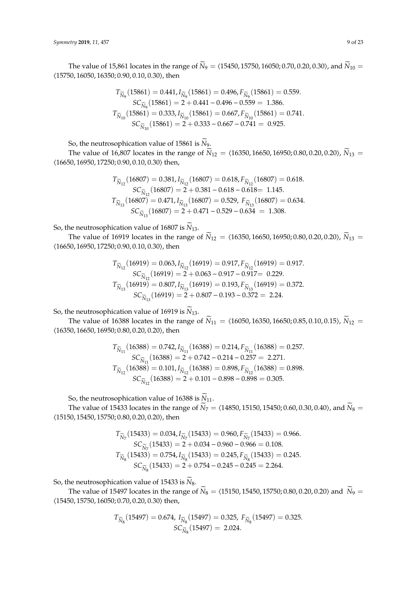The value of 15,861 locates in the range of  $\widetilde{N}_9 = \langle 15450, 15750, 16050; 0.70, 0.20, 0.30 \rangle$ , and  $\widetilde{N}_{10} =$  $(15750, 16050, 16350, 0.90, 0.10, 0.30)$ , then

$$
T_{\widetilde{N}_9}(15861) = 0.441, I_{\widetilde{N}_9}(15861) = 0.496, F_{\widetilde{N}_9}(15861) = 0.559.
$$
  
\n
$$
SC_{\widetilde{N}_9}(15861) = 2 + 0.441 - 0.496 - 0.559 = 1.386.
$$
  
\n
$$
T_{\widetilde{N}_{10}}(15861) = 0.333, I_{\widetilde{N}_{10}}(15861) = 0.667, F_{\widetilde{N}_{10}}(15861) = 0.741.
$$
  
\n
$$
SC_{\widetilde{N}_{10}}(15861) = 2 + 0.333 - 0.667 - 0.741 = 0.925.
$$

So, the neutrosophication value of 15861 is  $\widetilde{N}_9$ .

The value of 16,807 locates in the range of  $\hat{N}_{12} = \langle 16350, 16650, 16950, 0.80, 0.20, 0.20 \rangle$ ,  $\hat{N}_{13} =$  $(16650, 16950, 17250; 0.90, 0.10, 0.30)$  then,

$$
T_{\widetilde{N}_{12}}(16807) = 0.381, I_{\widetilde{N}_{12}}(16807) = 0.618, F_{\widetilde{N}_{12}}(16807) = 0.618.
$$
  
\n
$$
SC_{\widetilde{N}_{12}}(16807) = 2 + 0.381 - 0.618 - 0.618 = 1.145.
$$
  
\n
$$
T_{\widetilde{N}_{13}}(16807) = 0.471, I_{\widetilde{N}_{13}}(16807) = 0.529, F_{\widetilde{N}_{13}}(16807) = 0.634.
$$
  
\n
$$
SC_{\widetilde{N}_{13}}(16807) = 2 + 0.471 - 0.529 - 0.634 = 1.308.
$$

So, the neutrosophication value of 16807 is  $\widetilde{N}_{13}$ .

The value of 16919 locates in the range of  $\widetilde{N}_{12} = \langle 16350, 16650, 16950, 0.80, 0.20, 0.20 \rangle$ ,  $\widetilde{N}_{13} =$  $(16650, 16950, 17250; 0.90, 0.10, 0.30)$ , then

$$
T_{\widetilde{N}_{12}}(16919) = 0.063, I_{\widetilde{N}_{12}}(16919) = 0.917, F_{\widetilde{N}_{12}}(16919) = 0.917.
$$
  
\n
$$
SC_{\widetilde{N}_{12}}(16919) = 2 + 0.063 - 0.917 - 0.917 = 0.229.
$$
  
\n
$$
T_{\widetilde{N}_{13}}(16919) = 0.807, I_{\widetilde{N}_{13}}(16919) = 0.193, F_{\widetilde{N}_{13}}(16919) = 0.372.
$$
  
\n
$$
SC_{\widetilde{N}_{13}}(16919) = 2 + 0.807 - 0.193 - 0.372 = 2.24.
$$

So, the neutrosophication value of 16919 is  $\widetilde{N}_{13}$ .

The value of 16388 locates in the range of  $\widetilde{N}_{11} = \langle 16050, 16350, 16650; 0.85, 0.10, 0.15 \rangle$ ,  $\widetilde{N}_{12} =$  $(16350, 16650, 16950; 0.80, 0.20, 0.20)$ , then

$$
T_{\widetilde{N}_{11}}(16388) = 0.742, I_{\widetilde{N}_{11}}(16388) = 0.214, F_{\widetilde{N}_{11}}(16388) = 0.257.
$$
  
\n
$$
SC_{\widetilde{N}_{11}}(16388) = 2 + 0.742 - 0.214 - 0.257 = 2.271.
$$
  
\n
$$
T_{\widetilde{N}_{12}}(16388) = 0.101, I_{\widetilde{N}_{12}}(16388) = 0.898, F_{\widetilde{N}_{12}}(16388) = 0.898.
$$
  
\n
$$
SC_{\widetilde{N}_{12}}(16388) = 2 + 0.101 - 0.898 - 0.898 = 0.305.
$$

So, the neutrosophication value of 16388 is  $\widetilde{N}_{11}$ .

The value of 15433 locates in the range of  $\vec{N}_7 = \langle 14850, 15150, 15450, 0.60, 0.30, 0.40 \rangle$ , and  $\vec{N}_8 =$  $(15150, 15450, 15750; 0.80, 0.20, 0.20)$ , then

$$
T_{\widetilde{N}_7}(15433) = 0.034, I_{\widetilde{N}_7}(15433) = 0.960, F_{\widetilde{N}_7}(15433) = 0.966.
$$
  
\n
$$
SC_{\widetilde{N}_7}(15433) = 2 + 0.034 - 0.960 - 0.966 = 0.108.
$$
  
\n
$$
T_{\widetilde{N}_8}(15433) = 0.754, I_{\widetilde{N}_8}(15433) = 0.245, F_{\widetilde{N}_8}(15433) = 0.245.
$$
  
\n
$$
SC_{\widetilde{N}_8}(15433) = 2 + 0.754 - 0.245 - 0.245 = 2.264.
$$

So, the neutrosophication value of 15433 is  $\widetilde{N}_8$ .

The value of 15497 locates in the range of  $\widetilde{N}_8 = \langle 15150, 15450, 15750; 0.80, 0.20, 0.20 \rangle$  and  $\widetilde{N}_9 =$  $(15450, 15750, 16050; 0.70, 0.20, 0.30)$  then,

$$
T_{\widetilde{N}_8}(15497) = 0.674, I_{\widetilde{N}_8}(15497) = 0.325, F_{\widetilde{N}_8}(15497) = 0.325.
$$
  

$$
SC_{\widetilde{N}_8}(15497) = 2.024.
$$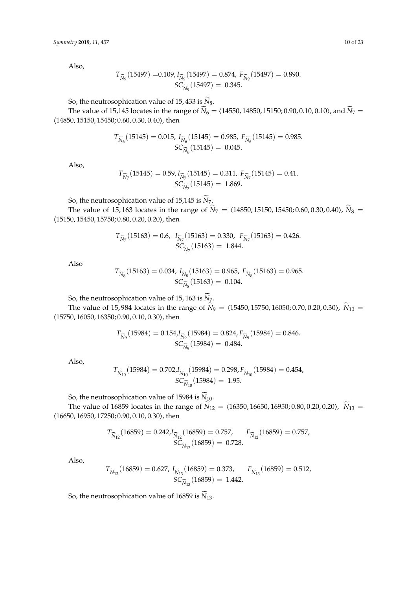Also,

$$
T_{\widetilde{N}_9}(15497) = 0.109, I_{\widetilde{N}_9}(15497) = 0.874, F_{\widetilde{N}_9}(15497) = 0.890.
$$
  

$$
SC_{\widetilde{N}_9}(15497) = 0.345.
$$

So, the neutrosophication value of 15, 433 is  $\widetilde{N}_8$ .

The value of 15,145 locates in the range of  $\widetilde{N}_6 = \langle 14550, 14850, 15150, 0.90, 0.10, 0.10 \rangle$ , and  $\widetilde{N}_7 =$  $(14850, 15150, 15450; 0.60, 0.30, 0.40)$ , then

$$
T_{\widetilde{N}_6}(15145) = 0.015, I_{\widetilde{N}_6}(15145) = 0.985, F_{\widetilde{N}_6}(15145) = 0.985.
$$
  

$$
SC_{\widetilde{N}_6}(15145) = 0.045.
$$

Also,

$$
T_{\widetilde{N}_7}(15145) = 0.59, I_{\widetilde{N}_7}(15145) = 0.311, F_{\widetilde{N}_7}(15145) = 0.41.
$$
  

$$
SC_{\widetilde{N}_7}(15145) = 1.869.
$$

So, the neutrosophication value of 15,145 is  $\widetilde{N}_7$ .

The value of 15, 163 locates in the range of  $\widetilde{N}_7 = \langle 14850, 15150, 15450, 0.60, 0.30, 0.40 \rangle$ ,  $\widetilde{N}_8 =$  $(15150, 15450, 15750; 0.80, 0.20, 0.20)$ , then

$$
T_{\widetilde{N}_7}(15163) = 0.6, \quad I_{\widetilde{N}_7}(15163) = 0.330, \quad F_{\widetilde{N}_7}(15163) = 0.426.
$$

$$
SC_{\widetilde{N}_7}(15163) = 1.844.
$$

Also

$$
T_{\widetilde{N}_8}(15163) = 0.034, I_{\widetilde{N}_8}(15163) = 0.965, F_{\widetilde{N}_8}(15163) = 0.965.
$$
  

$$
SC_{\widetilde{N}_8}(15163) = 0.104.
$$

So, the neutrosophication value of 15, 163 is  $\widetilde{N}_{7}$ .

The value of 15, 984 locates in the range of  $\tilde{N}_9 = \langle 15450, 15750, 16050, 0.70, 0.20, 0.30 \rangle$ ,  $\tilde{N}_{10} =$  $(15750, 16050, 16350; 0.90, 0.10, 0.30)$ , then

$$
T_{\widetilde{N}_9}(15984) = 0.154 J_{\widetilde{N}_9}(15984) = 0.824 F_{\widetilde{N}_9}(15984) = 0.846.
$$
  

$$
SC_{\widetilde{N}_9}(15984) = 0.484.
$$

Also,

$$
T_{\widetilde{N}_{10}}(15984) = 0.702J_{\widetilde{N}_{10}}(15984) = 0.298, F_{\widetilde{N}_{10}}(15984) = 0.454,
$$
  

$$
SC_{\widetilde{N}_{10}}(15984) = 1.95.
$$

So, the neutrosophication value of 15984 is  $\widetilde{N}_{10}$ .

The value of 16859 locates in the range of  $\overline{\tilde{N}}_{12} = \langle 16350, 16650, 16950, 0.80, 0.20, 0.20 \rangle$ ,  $\overline{\tilde{N}}_{13} =$  $(16650, 16950, 17250; 0.90, 0.10, 0.30)$ , then

$$
T_{\widetilde{N}_{12}}(16859) = 0.242 J_{\widetilde{N}_{12}}(16859) = 0.757, \qquad F_{\widetilde{N}_{12}}(16859) = 0.757, \qquad SC_{\widetilde{N}_{12}}(16859) = 0.728.
$$

Also,

$$
T_{\widetilde{N}_{13}}(16859)=0.627,\ I_{\widetilde{N}_{13}}(16859)=0.373,\qquad F_{\widetilde{N}_{13}}(16859)=0.512,\nonumber\\ SC_{\widetilde{N}_{13}}(16859)=1.442.
$$

So, the neutrosophication value of 16859 is  $\widetilde{N}_{13}$ .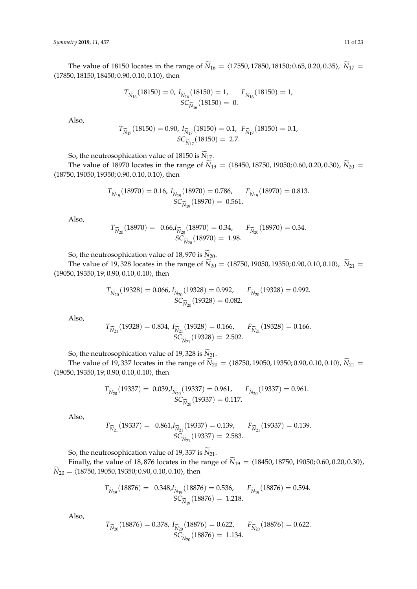The value of 18150 locates in the range of  $\widetilde{N}_{16} = \langle 17550, 17850, 18150, 0.65, 0.20, 0.35 \rangle$ ,  $\widetilde{N}_{17} =$  $(17850, 18150, 18450, 0.90, 0.10, 0.10)$ , then

$$
T_{\widetilde{N}_{16}}(18150) = 0, \ I_{\widetilde{N}_{16}}(18150) = 1, \quad F_{\widetilde{N}_{16}}(18150) = 1, \\ SC_{\widetilde{N}_{16}}(18150) = 0.
$$

Also,

$$
T_{\widetilde{N}_{17}}(18150) = 0.90, I_{\widetilde{N}_{17}}(18150) = 0.1, F_{\widetilde{N}_{17}}(18150) = 0.1,
$$
  

$$
SC_{\widetilde{N}_{17}}(18150) = 2.7.
$$

So, the neutrosophication value of 18150 is  $N_{17}$ .

The value of 18970 locates in the range of  $\widetilde{N}_{19} = \langle 18450, 18750, 19050; 0.60, 0.20, 0.30 \rangle$ ,  $\widetilde{N}_{20} =$  $(18750, 19050, 19350; 0.90, 0.10, 0.10)$ , then

$$
T_{\widetilde{N}_{19}}(18970) = 0.16, I_{\widetilde{N}_{19}}(18970) = 0.786, \qquad F_{\widetilde{N}_{19}}(18970) = 0.813.
$$
  

$$
SC_{\widetilde{N}_{19}}(18970) = 0.561.
$$

Also,

$$
T_{\widetilde{N}_{20}}(18970) = 0.66 J_{\widetilde{N}_{20}}(18970) = 0.34, \qquad F_{\widetilde{N}_{20}}(18970) = 0.34.
$$
  

$$
SC_{\widetilde{N}_{20}}(18970) = 1.98.
$$

So, the neutrosophication value of 18,970 is  $\widetilde{N}_{20}$ .

The value of 19, 328 locates in the range of  $\widetilde{N}_{20} = \langle 18750, 19050, 19350, 0.90, 0.10, 0.10 \rangle$ ,  $\widetilde{N}_{21} =$  $(19050, 19350, 19; 0.90, 0.10, 0.10)$ , then

$$
T_{\widetilde{N}_{20}}(19328) = 0.066, I_{\widetilde{N}_{20}}(19328) = 0.992, \qquad F_{\widetilde{N}_{20}}(19328) = 0.992.
$$
  

$$
SC_{\widetilde{N}_{20}}(19328) = 0.082.
$$

Also,

$$
T_{\widetilde{N}_{21}}(19328) = 0.834, \ I_{\widetilde{N}_{21}}(19328) = 0.166, \quad F_{\widetilde{N}_{21}}(19328) = 0.166. \\ SC_{\widetilde{N}_{21}}(19328) = 2.502.
$$

So, the neutrosophication value of 19, 328 is  $\widetilde{N}_{21}$ .

The value of 19, 337 locates in the range of  $\widetilde{N}_{20} = \langle 18750, 19050, 19350; 0.90, 0.10, 0.10 \rangle$ ,  $\widetilde{N}_{21} =$  $(19050, 19350, 19; 0.90, 0.10, 0.10)$ , then

$$
T_{\widetilde{N}_{20}}(19337) = 0.039 J_{\widetilde{N}_{20}}(19337) = 0.961, \qquad F_{\widetilde{N}_{20}}(19337) = 0.961.
$$
  

$$
SC_{\widetilde{N}_{20}}(19337) = 0.117.
$$

Also,

$$
T_{\widetilde{N}_{21}}(19337) = 0.861 J_{\widetilde{N}_{21}}(19337) = 0.139, \qquad F_{\widetilde{N}_{21}}(19337) = 0.139.
$$
  

$$
SC_{\widetilde{N}_{21}}(19337) = 2.583.
$$

So, the neutrosophication value of 19, 337 is  $\widetilde{N}_{21}$ .

Finally, the value of 18,876 locates in the range of  $\widetilde{N}_{19} = \langle 18450, 18750, 19050; 0.60, 0.20, 0.30 \rangle$ ,  $\widetilde{N}_{20} = \langle 18750, 19050, 19350; 0.90, 0.10, 0.10 \rangle$ , then

$$
T_{\widetilde{N}_{19}}(18876) = 0.348 J_{\widetilde{N}_{19}}(18876) = 0.536, \qquad F_{\widetilde{N}_{19}}(18876) = 0.594.
$$
  

$$
SC_{\widetilde{N}_{19}}(18876) = 1.218.
$$

Also,

$$
T_{\widetilde{N}_{20}}(18876) = 0.378, \ I_{\widetilde{N}_{20}}(18876) = 0.622, \quad F_{\widetilde{N}_{20}}(18876) = 0.622. \\ SC_{\widetilde{N}_{20}}(18876) = 1.134.
$$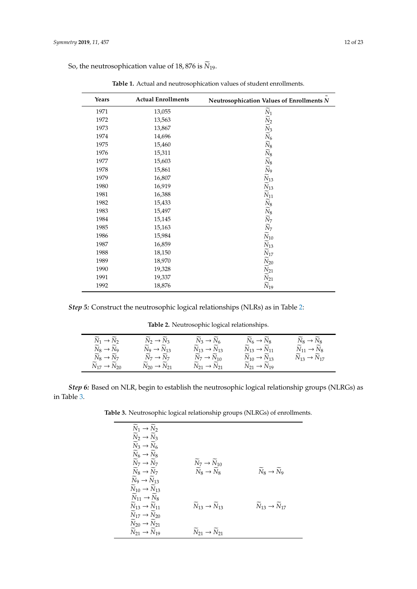| Years | <b>Actual Enrollments</b> | Neutrosophication Values of Enrollments N                                                                                                                                                                                                                                                                                                                                                                                                                      |
|-------|---------------------------|----------------------------------------------------------------------------------------------------------------------------------------------------------------------------------------------------------------------------------------------------------------------------------------------------------------------------------------------------------------------------------------------------------------------------------------------------------------|
| 1971  | 13,055                    |                                                                                                                                                                                                                                                                                                                                                                                                                                                                |
| 1972  | 13,563                    |                                                                                                                                                                                                                                                                                                                                                                                                                                                                |
| 1973  | 13,867                    |                                                                                                                                                                                                                                                                                                                                                                                                                                                                |
| 1974  | 14,696                    |                                                                                                                                                                                                                                                                                                                                                                                                                                                                |
| 1975  | 15,460                    |                                                                                                                                                                                                                                                                                                                                                                                                                                                                |
| 1976  | 15,311                    |                                                                                                                                                                                                                                                                                                                                                                                                                                                                |
| 1977  | 15,603                    |                                                                                                                                                                                                                                                                                                                                                                                                                                                                |
| 1978  | 15,861                    |                                                                                                                                                                                                                                                                                                                                                                                                                                                                |
| 1979  | 16,807                    |                                                                                                                                                                                                                                                                                                                                                                                                                                                                |
| 1980  | 16,919                    |                                                                                                                                                                                                                                                                                                                                                                                                                                                                |
| 1981  | 16,388                    |                                                                                                                                                                                                                                                                                                                                                                                                                                                                |
| 1982  | 15,433                    |                                                                                                                                                                                                                                                                                                                                                                                                                                                                |
| 1983  | 15,497                    |                                                                                                                                                                                                                                                                                                                                                                                                                                                                |
| 1984  | 15,145                    |                                                                                                                                                                                                                                                                                                                                                                                                                                                                |
| 1985  | 15,163                    |                                                                                                                                                                                                                                                                                                                                                                                                                                                                |
| 1986  | 15,984                    |                                                                                                                                                                                                                                                                                                                                                                                                                                                                |
| 1987  | 16,859                    |                                                                                                                                                                                                                                                                                                                                                                                                                                                                |
| 1988  | 18,150                    |                                                                                                                                                                                                                                                                                                                                                                                                                                                                |
| 1989  | 18,970                    |                                                                                                                                                                                                                                                                                                                                                                                                                                                                |
| 1990  | 19,328                    | $\overline{N}_1 \overline{N}_2 \overline{N}_3 \overline{N}_6 \overline{N}_8 \overline{N}_8 \overline{N}_9 \overline{N}_1$<br>$\overline{N}_2 \overline{N}_3 \overline{N}_8 \overline{N}_9 \overline{N}_1$<br>$\overline{N}_1 \overline{N}_1$<br>$\overline{N}_2 \overline{N}_7 \overline{N}_7$<br>$\overline{N}_1 \overline{N}_1$<br>$\overline{N}_2 \overline{N}_2$<br>$\overline{N}_2 \overline{N}_1$<br>$\overline{N}_2 \overline{N}_2$<br>$\overline{N}_1$ |
| 1991  | 19,337                    |                                                                                                                                                                                                                                                                                                                                                                                                                                                                |
| 1992  | 18,876                    |                                                                                                                                                                                                                                                                                                                                                                                                                                                                |

**Table 1.** Actual and neutrosophication values of student enrollments.

<span id="page-11-0"></span>So, the neutrosophication value of 18,876 is  $\widetilde{N}_{19}$ .

<span id="page-11-1"></span>*Step 5:* Construct the neutrosophic logical relationships (NLRs) as in Table [2:](#page-11-1)

**Table 2.** Neutrosophic logical relationships.

| $\tilde{\phantom{a}}$                                                    | $\tilde{\phantom{a}}$                             | $\tilde{\phantom{a}}$                                | $\tilde{\phantom{a}}$                                | $\tilde{\phantom{a}}$                             |
|--------------------------------------------------------------------------|---------------------------------------------------|------------------------------------------------------|------------------------------------------------------|---------------------------------------------------|
| $\tilde{\phantom{a}}$                                                    | $\tilde{\phantom{a}}$                             | $\tilde{\phantom{a}}$                                | $\widetilde{\phantom{m}}$                            | $\tilde{\phantom{a}}$                             |
| $N_1 \rightarrow N_2$                                                    | $N_2 \rightarrow N_3$                             | $N_3 \rightarrow N_6$                                | $N_6 \rightarrow N_8$                                | $N_8 \rightarrow N_8$                             |
| ~<br>$N_8 \rightarrow N_9$                                               | $\tilde{\phantom{a}}$<br>$N_9 \rightarrow N_{13}$ | $N_{13} \to N_{13}$                                  | $N_{13} \to N_{11}$                                  | $\tilde{\phantom{a}}$<br>$N_{11} \rightarrow N_8$ |
| $\widetilde{\phantom{m}}$                                                | ~                                                 | $\tilde{\phantom{a}}$                                | $N_{10} \rightarrow N_{13}$                          | $\tilde{\phantom{a}}$                             |
| $N_8 \rightarrow N_7$                                                    | $N_7 \rightarrow N_7$                             | $N_7 \rightarrow N_{10}$                             |                                                      | $N_{13} \to N_{17}$                               |
| $\tilde{\phantom{a}}$<br>$\overline{\phantom{0}}$<br>$N_{17} \to N_{20}$ | $\tilde{\phantom{a}}$<br>$N_{20} \to N_{21}$      | $\tilde{\phantom{a}}$<br>$N_{21} \rightarrow N_{21}$ | $\tilde{\phantom{a}}$<br>$N_{21} \rightarrow N_{19}$ |                                                   |

<span id="page-11-2"></span>*Step 6:* Based on NLR, begin to establish the neutrosophic logical relationship groups (NLRGs) as in Table [3.](#page-11-2)

**Table 3.** Neutrosophic logical relationship groups (NLRGs) of enrollments.

| $\widetilde{N}_1 \rightarrow \widetilde{N}_2$<br>$\widetilde{N}_2 \rightarrow \widetilde{N}_3$             |                                                                           |                                                     |
|------------------------------------------------------------------------------------------------------------|---------------------------------------------------------------------------|-----------------------------------------------------|
| $\widetilde{N}_3 \rightarrow \widetilde{N}_6$<br>$\widetilde{N}_6 \rightarrow \widetilde{N}_8$             |                                                                           |                                                     |
| $N_7 \rightarrow N_7$<br>$\widetilde{N}_8 \rightarrow \widetilde{N}_7$                                     | $N_7 \rightarrow N_{10}$<br>$\widetilde{N}_8 \rightarrow \widetilde{N}_8$ | $\widetilde{N}_8 \rightarrow \widetilde{N}_9$       |
| $\widetilde{N}_9 \rightarrow \widetilde{N}_{13}$                                                           |                                                                           |                                                     |
| $\widetilde{N}_{10} \rightarrow \widetilde{N}_{13}$<br>$N_{11} \rightarrow N_8$                            |                                                                           |                                                     |
| $\widetilde{N}_{13} \rightarrow \widetilde{N}_{11}$<br>$\widetilde{N}_{17} \rightarrow \widetilde{N}_{20}$ | $\widetilde{N}_{13} \rightarrow \widetilde{N}_{13}$                       | $\widetilde{N}_{13} \rightarrow \widetilde{N}_{17}$ |
| $\widetilde{N}_{20} \rightarrow \widetilde{N}_{21}$                                                        |                                                                           |                                                     |
| $N_{21} \rightarrow N_{19}$                                                                                | $N_{21} \rightarrow N_{21}$                                               |                                                     |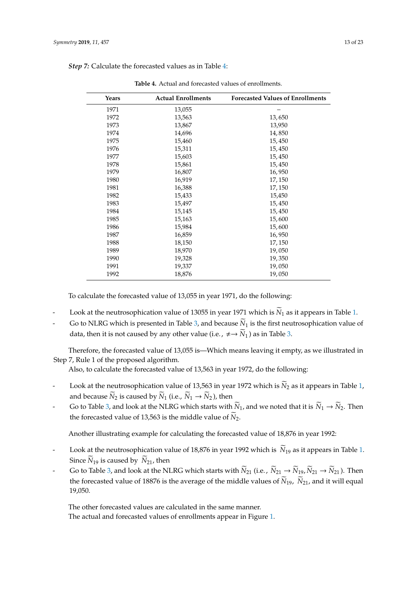| <b>Actual Enrollments</b><br><b>Forecasted Values of Enrollments</b><br>Years<br>13,055<br>1971<br>1972<br>13,563<br>13,650<br>1973<br>13,867<br>13,950<br>1974<br>14,696<br>14,850 |  |
|-------------------------------------------------------------------------------------------------------------------------------------------------------------------------------------|--|
|                                                                                                                                                                                     |  |
|                                                                                                                                                                                     |  |
|                                                                                                                                                                                     |  |
|                                                                                                                                                                                     |  |
|                                                                                                                                                                                     |  |
| 1975<br>15,460<br>15,450                                                                                                                                                            |  |
| 1976<br>15,311<br>15,450                                                                                                                                                            |  |
| 15,603<br>1977<br>15,450                                                                                                                                                            |  |
| 1978<br>15,861<br>15,450                                                                                                                                                            |  |
| 1979<br>16,807<br>16,950                                                                                                                                                            |  |
| 1980<br>16,919<br>17,150                                                                                                                                                            |  |
| 16,388<br>17,150<br>1981                                                                                                                                                            |  |
| 1982<br>15,433<br>15,450                                                                                                                                                            |  |
| 1983<br>15,497<br>15,450                                                                                                                                                            |  |
| 1984<br>15,145<br>15,450                                                                                                                                                            |  |
| 1985<br>15,163<br>15,600                                                                                                                                                            |  |
| 1986<br>15,984<br>15,600                                                                                                                                                            |  |
| 16,859<br>1987<br>16,950                                                                                                                                                            |  |
| 1988<br>18,150<br>17,150                                                                                                                                                            |  |
| 18,970<br>19,050<br>1989                                                                                                                                                            |  |
| 1990<br>19,328<br>19,350                                                                                                                                                            |  |
| 19,337<br>19,050<br>1991                                                                                                                                                            |  |
| 1992<br>18,876<br>19,050                                                                                                                                                            |  |

<span id="page-12-0"></span>*Step 7:* Calculate the forecasted values as in Table [4:](#page-12-0)

**Table 4.** Actual and forecasted values of enrollments.

To calculate the forecasted value of 13,055 in year 1971, do the following:

- Look at the neutrosophication value of 13055 in year 1971 which is  $\widetilde{N}_1$  as it appears in Table [1.](#page-11-0)
- Go to NLRG which is presented in Table [3,](#page-11-2) and because  $\widetilde{N}_1$  is the first neutrosophication value of data, then it is not caused by any other value (i.e.,  $\neq \rightarrow \widetilde{N}_1$ ) as in Table [3.](#page-11-2)

Therefore, the forecasted value of 13,055 is—Which means leaving it empty, as we illustrated in Step 7, Rule 1 of the proposed algorithm.

Also, to calculate the forecasted value of 13,563 in year 1972, do the following:

- Look at the neutrosophication value of 13,563 in year 1972 which is  $\widetilde{N}_2$  as it appears in Table [1,](#page-11-0) and because  $\widetilde{N}_2$  is caused by  $\widetilde{N}_1$  (i.e.,  $\widetilde{N}_1 \rightarrow \widetilde{N}_2$ ), then
- Go to Table [3,](#page-11-2) and look at the NLRG which starts with  $\widetilde{N}_1$ , and we noted that it is  $\widetilde{N}_1 \to \widetilde{N}_2$ . Then the forecasted value of 13,563 is the middle value of  $\widetilde{N}_2$ .

Another illustrating example for calculating the forecasted value of 18,876 in year 1992:

- Look at the neutrosophication value of 18,876 in year 1992 which is  $\widetilde{N}_{19}$  as it appears in Table [1.](#page-11-0) Since  $\widetilde{N}_{19}$  is caused by  $\widetilde{N}_{21}$ , then
- Go to Table [3,](#page-11-2) and look at the NLRG which starts with  $\widetilde{N}_{21}$  (i.e.,  $\widetilde{N}_{21} \to \widetilde{N}_{19}$ ,  $\widetilde{N}_{21} \to \widetilde{N}_{21}$ ). Then the forecasted value of 18876 is the average of the middle values of  $\widetilde{N}_{19}$ ,  $\widetilde{N}_{21}$ , and it will equal 19,050.

The other forecasted values are calculated in the same manner. The actual and forecasted values of enrollments appear in Figure [1.](#page-13-0)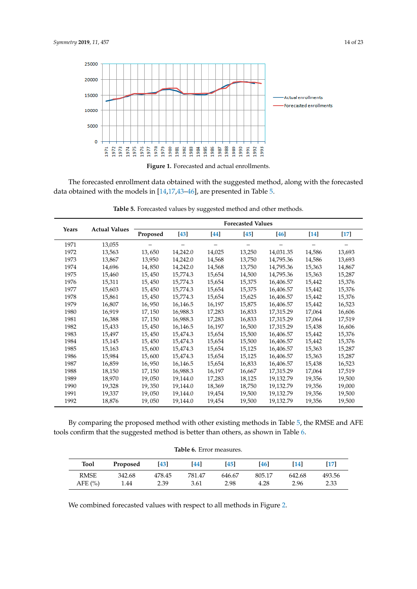<span id="page-13-0"></span>



 $\frac{1}{\pi}$  channel with the models in [14.17.43, 46], are presented in Table 5 data obtained with the models in [14,17,43–46], are presented in Table 5. data obtained with the models in [\[14](#page-21-0)[,17,](#page-21-16)[43–](#page-22-4)[46\]](#page-22-5), are presented in Table [5.](#page-13-1) The forecasted enrollment data obtained with the suggested method, along with the forecasted

<span id="page-13-1"></span>

| <b>Actual Values</b><br>Years |        | <b>Forecasted Values</b> |          |        |           |           |        |        |
|-------------------------------|--------|--------------------------|----------|--------|-----------|-----------|--------|--------|
|                               |        | Proposed                 | $[43]$   | [44]   | <b>45</b> | $[46]$    | $[14]$ | $[17]$ |
| 1971                          | 13,055 |                          |          |        |           |           |        |        |
| 1972                          | 13,563 | 13,650                   | 14,242.0 | 14,025 | 13,250    | 14,031.35 | 14,586 | 13,693 |
| 1973                          | 13,867 | 13,950                   | 14,242.0 | 14,568 | 13,750    | 14,795.36 | 14,586 | 13,693 |
| 1974                          | 14,696 | 14,850                   | 14,242.0 | 14,568 | 13,750    | 14,795.36 | 15,363 | 14,867 |
| 1975                          | 15,460 | 15,450                   | 15,774.3 | 15,654 | 14,500    | 14,795.36 | 15,363 | 15,287 |
| 1976                          | 15,311 | 15,450                   | 15,774.3 | 15,654 | 15,375    | 16,406.57 | 15,442 | 15,376 |
| 1977                          | 15,603 | 15,450                   | 15,774.3 | 15,654 | 15,375    | 16,406.57 | 15,442 | 15,376 |
| 1978                          | 15,861 | 15,450                   | 15,774.3 | 15,654 | 15,625    | 16,406.57 | 15,442 | 15,376 |
| 1979                          | 16,807 | 16,950                   | 16,146.5 | 16,197 | 15,875    | 16,406.57 | 15,442 | 16,523 |
| 1980                          | 16,919 | 17,150                   | 16,988.3 | 17,283 | 16,833    | 17,315.29 | 17,064 | 16,606 |
| 1981                          | 16,388 | 17,150                   | 16,988.3 | 17,283 | 16,833    | 17,315.29 | 17,064 | 17,519 |
| 1982                          | 15,433 | 15,450                   | 16,146.5 | 16,197 | 16,500    | 17,315.29 | 15,438 | 16,606 |
| 1983                          | 15,497 | 15,450                   | 15,474.3 | 15,654 | 15,500    | 16,406.57 | 15,442 | 15,376 |
| 1984                          | 15,145 | 15,450                   | 15,474.3 | 15,654 | 15,500    | 16,406.57 | 15,442 | 15,376 |
| 1985                          | 15,163 | 15,600                   | 15,474.3 | 15,654 | 15,125    | 16,406.57 | 15,363 | 15,287 |
| 1986                          | 15,984 | 15,600                   | 15,474.3 | 15,654 | 15,125    | 16,406.57 | 15,363 | 15,287 |
| 1987                          | 16,859 | 16,950                   | 16,146.5 | 15,654 | 16,833    | 16,406.57 | 15,438 | 16,523 |
| 1988                          | 18,150 | 17,150                   | 16,988.3 | 16,197 | 16,667    | 17,315.29 | 17,064 | 17,519 |
| 1989                          | 18,970 | 19,050                   | 19,144.0 | 17,283 | 18,125    | 19,132.79 | 19,356 | 19,500 |
| 1990                          | 19,328 | 19,350                   | 19,144.0 | 18,369 | 18,750    | 19,132.79 | 19,356 | 19,000 |
| 1991                          | 19,337 | 19,050                   | 19,144.0 | 19,454 | 19,500    | 19,132.79 | 19,356 | 19,500 |
| 1992                          | 18,876 | 19,050                   | 19,144.0 | 19,454 | 19,500    | 19,132.79 | 19,356 | 19,500 |

**Table 5.** Forecasted values by suggested method and other methods.

By comparing the proposed method with other existing methods in Table [5,](#page-13-1) the RMSE and AFE tools confirm that the suggested method is better than others, as shown in Table [6.](#page-13-2)

<span id="page-13-2"></span>

| <b>Tool</b> | Proposed | [43]   | <b>44</b> | <b>45</b> | <b>46</b>      | [14]   | [17]   |
|-------------|----------|--------|-----------|-----------|----------------|--------|--------|
| <b>RMSE</b> | 342.68   | 478.45 | 781.47    | 646.67    | 805.17<br>4.28 | 642.68 | 493.56 |
| AFE $(%)$   | 1.44     | 2.39   | 3.61      | 2.98      |                | 2.96   | 2.33   |

We combined forecasted values with respect to all methods in Figure [2.](#page-14-0)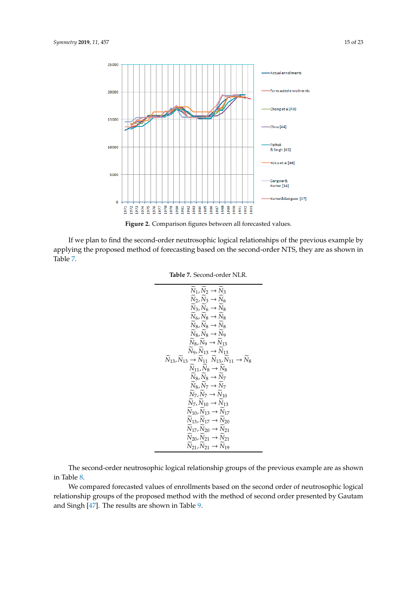<span id="page-14-0"></span>

**Figure 2.** Comparison figures between all forecasted values. **Figure 2.** Comparison figures between all forecasted values.

<span id="page-14-1"></span>If we plan to find the second-order neutrosophic logical relationships of the previous example by applying the proposed method of forecasting based on the second-order NTS, they are as shown in Table [7.](#page-14-1)

#### **Table 7.** Second-order NLR.

$$
\begin{array}{rcl}\n\widetilde{N}_1, \widetilde{N}_2 &\rightarrow \widetilde{N}_3 \\
\widetilde{N}_2, \widetilde{N}_3 &\rightarrow \widetilde{N}_6 \\
\widetilde{N}_3, \widetilde{N}_6 &\rightarrow \widetilde{N}_8 \\
\widetilde{N}_5, \widetilde{N}_8 &\rightarrow \widetilde{N}_8 \\
\widetilde{N}_6, \widetilde{N}_8 &\rightarrow \widetilde{N}_8 \\
\widetilde{N}_8, \widetilde{N}_8 &\rightarrow \widetilde{N}_9 \\
\widetilde{N}_8, \widetilde{N}_9 &\rightarrow \widetilde{N}_{13} \\
\widetilde{N}_9, \widetilde{N}_{13} &\rightarrow \widetilde{N}_{13} \\
\widetilde{N}_9, \widetilde{N}_{13} &\rightarrow \widetilde{N}_{13} \\
\widetilde{N}_9, \widetilde{N}_{13} &\rightarrow \widetilde{N}_{13} \\
\widetilde{N}_9, \widetilde{N}_9 &\rightarrow \widetilde{N}_8 \\
\widetilde{N}_8, \widetilde{N}_8 &\rightarrow \widetilde{N}_7 \\
\widetilde{N}_8, \widetilde{N}_8 &\rightarrow \widetilde{N}_7 \\
\widetilde{N}_8, \widetilde{N}_7 &\rightarrow \widetilde{N}_{10} \\
\widetilde{N}_7, \widetilde{N}_7 &\rightarrow \widetilde{N}_{10} \\
\widetilde{N}_7, \widetilde{N}_1 &\rightarrow \widetilde{N}_{13} \\
\widetilde{N}_{10}, \widetilde{N}_{13} &\rightarrow \widetilde{N}_{17} \\
\widetilde{N}_{13}, \widetilde{N}_{17} &\rightarrow \widetilde{N}_{20} \\
\widetilde{N}_{17}, \widetilde{N}_{20} &\rightarrow \widetilde{N}_{21} \\
\widetilde{N}_{20}, \widetilde{N}_{21} &\rightarrow \widetilde{N}_{21} \\
\widetilde{N}_{21}, \widetilde{N}_{21} &\rightarrow \widetilde{N}_{19}\n\end{array}
$$

The second-order neutrosophic logical relationship groups of the previous example are as shown in Table [8.](#page-15-0)

We compared forecasted values of enrollments based on the second order of neutrosophic logical relationship groups of the proposed method with the method of second order presented by Gautam and Singh [\[47\]](#page-22-8). The results are shown in Table [9.](#page-15-1)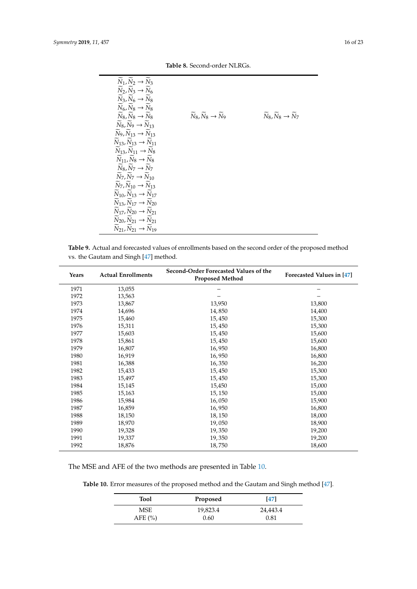$\widetilde{N}_8$ ,  $\widetilde{N}_9 \rightarrow \widetilde{N}_{13}$  $\widetilde{N}_9$ ,  $\widetilde{N}_{13} \rightarrow \widetilde{N}_{13}$  $\widetilde{N}_{13}, \widetilde{N}_{13} \rightarrow \widetilde{N}_{11}$  $\widetilde{N}_{13}, \widetilde{N}_{11} \rightarrow \widetilde{N}_{8}$  $\widetilde{N}_{11}, \widetilde{N}_{8} \rightarrow \widetilde{N}_{8}$  $\widetilde{N}_8, \widetilde{N}_7 \rightarrow \widetilde{N}_7$  $\widetilde{N}_7, \widetilde{N}_7 \rightarrow \widetilde{N}_{10}$  $\widetilde{N}_7, \widetilde{N}_{10} \rightarrow \widetilde{N}_{13}$  $\widetilde{N}_{10}$ ,  $\widetilde{N}_{13} \rightarrow \widetilde{N}_{17}$  $\widetilde{N}_{13}$ ,  $\widetilde{N}_{17} \rightarrow \widetilde{N}_{20}$  $\widetilde{N}_{17}, \widetilde{N}_{20} \rightarrow \widetilde{N}_{21}$  $\widetilde{N}_{20}, \widetilde{N}_{21} \rightarrow \widetilde{N}_{21}$  $\widetilde{N}_{21}, \widetilde{N}_{21} \rightarrow \widetilde{N}_{19}$ 

<span id="page-15-0"></span>

| $N_1, N_2 \rightarrow N_3$ |                            |          |
|----------------------------|----------------------------|----------|
| $N_2, N_3 \rightarrow N_6$ |                            |          |
| $N_3, N_6 \rightarrow N_8$ |                            |          |
| $N_6, N_8 \rightarrow N_8$ |                            |          |
| $N_8, N_8 \rightarrow N_8$ | $N_8, N_8 \rightarrow N_9$ | $N_8, N$ |
|                            |                            |          |

 $\widetilde{N}_8, \widetilde{N}_8 \to \widetilde{N}_9$   $\qquad \qquad \widetilde{N}_8, \widetilde{N}_8 \to \widetilde{N}_7$ 

**Table 8.** Second-order NLRGs.

<span id="page-15-1"></span>**Table 9.** Actual and forecasted values of enrollments based on the second order of the proposed method vs. the Gautam and Singh [\[47\]](#page-22-8) method.

| Years | <b>Actual Enrollments</b> | Second-Order Forecasted Values of the<br><b>Proposed Method</b> | Forecasted Values in [47] |
|-------|---------------------------|-----------------------------------------------------------------|---------------------------|
| 1971  | 13,055                    |                                                                 |                           |
| 1972  | 13,563                    |                                                                 |                           |
| 1973  | 13,867                    | 13,950                                                          | 13,800                    |
| 1974  | 14,696                    | 14,850                                                          | 14,400                    |
| 1975  | 15,460                    | 15,450                                                          | 15,300                    |
| 1976  | 15,311                    | 15,450                                                          | 15,300                    |
| 1977  | 15,603                    | 15,450                                                          | 15,600                    |
| 1978  | 15,861                    | 15,450                                                          | 15,600                    |
| 1979  | 16,807                    | 16,950                                                          | 16,800                    |
| 1980  | 16,919                    | 16,950                                                          | 16,800                    |
| 1981  | 16,388                    | 16,350                                                          | 16,200                    |
| 1982  | 15,433                    | 15,450                                                          | 15,300                    |
| 1983  | 15,497                    | 15,450                                                          | 15,300                    |
| 1984  | 15,145                    | 15,450                                                          | 15,000                    |
| 1985  | 15,163                    | 15, 150                                                         | 15,000                    |
| 1986  | 15,984                    | 16,050                                                          | 15,900                    |
| 1987  | 16,859                    | 16,950                                                          | 16,800                    |
| 1988  | 18,150                    | 18, 150                                                         | 18,000                    |
| 1989  | 18,970                    | 19,050                                                          | 18,900                    |
| 1990  | 19,328                    | 19,350                                                          | 19,200                    |
| 1991  | 19,337                    | 19,350                                                          | 19,200                    |
| 1992  | 18,876                    | 18,750                                                          | 18,600                    |

<span id="page-15-2"></span>The MSE and AFE of the two methods are presented in Table [10.](#page-15-2)

**Table 10.** Error measures of the proposed method and the Gautam and Singh method [\[47\]](#page-22-8).

| <b>Tool</b> | Proposed | $[47]$   |
|-------------|----------|----------|
| <b>MSE</b>  | 19,823.4 | 24,443.4 |
| AFE $(\% )$ | 0.60     | 0.81     |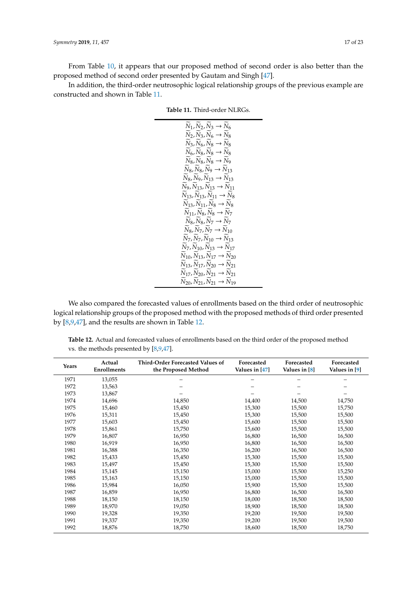From Table [10,](#page-15-2) it appears that our proposed method of second order is also better than the proposed method of second order presented by Gautam and Singh [\[47\]](#page-22-8).

<span id="page-16-0"></span>In addition, the third-order neutrosophic logical relationship groups of the previous example are constructed and shown in Table [11.](#page-16-0)

| $N_1, N_2, N_3 \to N_6$<br>$\widetilde{N}_2, \widetilde{N}_3, \widetilde{N}_6 \rightarrow \widetilde{N}_8$<br>$N_3, N_6, N_8 \rightarrow N_8$<br>$N_6, N_8, N_8 \rightarrow N_8$<br>$N_8, N_8, N_8 \rightarrow N_9$<br>$N_8, N_8, N_9 \to N_{13}$<br>$N_8, N_9, N_{13} \rightarrow N_{13}$<br>$\widetilde{N}_9, \widetilde{N}_{13}, \widetilde{N}_{13} \rightarrow \widetilde{N}_{11}$<br>$N_{13}, N_{13}, N_{11} \rightarrow N_8$<br>$N_{13}, N_{11}, N_8 \rightarrow N_8$<br>$N_{11}, N_8, N_8 \to N_7$<br>$N_8, N_8, N_7 \rightarrow N_7$<br>$N_8, N_7, N_7 \to N_{10}$<br>$N_7, N_7, N_{10} \rightarrow N_{13}$<br>$N_7, N_{10}, N_{13} \rightarrow N_{17}$<br>$N_{10}$ , $N_{13}$ , $N_{17} \rightarrow N_{20}$ |
|----------------------------------------------------------------------------------------------------------------------------------------------------------------------------------------------------------------------------------------------------------------------------------------------------------------------------------------------------------------------------------------------------------------------------------------------------------------------------------------------------------------------------------------------------------------------------------------------------------------------------------------------------------------------------------------------------------------------|
|                                                                                                                                                                                                                                                                                                                                                                                                                                                                                                                                                                                                                                                                                                                      |
| $N_{13}$ , $N_{17}$ , $N_{20} \rightarrow N_{21}$<br>$N_{17}$ , $N_{20}$ , $N_{21} \rightarrow N_{21}$                                                                                                                                                                                                                                                                                                                                                                                                                                                                                                                                                                                                               |
| $N_{20}$ , $N_{21}$ , $N_{21} \rightarrow N_{19}$                                                                                                                                                                                                                                                                                                                                                                                                                                                                                                                                                                                                                                                                    |
|                                                                                                                                                                                                                                                                                                                                                                                                                                                                                                                                                                                                                                                                                                                      |

We also compared the forecasted values of enrollments based on the third order of neutrosophic logical relationship groups of the proposed method with the proposed methods of third order presented by [\[8](#page-20-5)[,9](#page-20-6)[,47\]](#page-22-8), and the results are shown in Table [12.](#page-16-1)

<span id="page-16-1"></span>**Table 12.** Actual and forecasted values of enrollments based on the third order of the proposed method vs. the methods presented by [\[8](#page-20-5)[,9,](#page-20-6)[47\]](#page-22-8).

| Years | Actual<br>Enrollments | Third-Order Forecasted Values of<br>the Proposed Method | Forecasted<br>Values in [47] | Forecasted<br>Values in [8] | Forecasted<br>Values in [9] |
|-------|-----------------------|---------------------------------------------------------|------------------------------|-----------------------------|-----------------------------|
| 1971  | 13,055                |                                                         |                              |                             |                             |
| 1972  | 13,563                |                                                         |                              |                             |                             |
| 1973  | 13,867                |                                                         |                              |                             |                             |
| 1974  | 14,696                | 14,850                                                  | 14,400                       | 14,500                      | 14,750                      |
| 1975  | 15,460                | 15,450                                                  | 15,300                       | 15,500                      | 15,750                      |
| 1976  | 15,311                | 15,450                                                  | 15,300                       | 15,500                      | 15,500                      |
| 1977  | 15,603                | 15,450                                                  | 15,600                       | 15,500                      | 15,500                      |
| 1978  | 15,861                | 15,750                                                  | 15,600                       | 15,500                      | 15,500                      |
| 1979  | 16,807                | 16,950                                                  | 16,800                       | 16,500                      | 16,500                      |
| 1980  | 16,919                | 16,950                                                  | 16,800                       | 16,500                      | 16,500                      |
| 1981  | 16,388                | 16,350                                                  | 16,200                       | 16,500                      | 16,500                      |
| 1982  | 15,433                | 15,450                                                  | 15,300                       | 15,500                      | 15,500                      |
| 1983  | 15,497                | 15,450                                                  | 15,300                       | 15,500                      | 15,500                      |
| 1984  | 15,145                | 15,150                                                  | 15,000                       | 15,500                      | 15,250                      |
| 1985  | 15,163                | 15,150                                                  | 15,000                       | 15,500                      | 15,500                      |
| 1986  | 15,984                | 16,050                                                  | 15,900                       | 15,500                      | 15,500                      |
| 1987  | 16,859                | 16,950                                                  | 16,800                       | 16,500                      | 16,500                      |
| 1988  | 18,150                | 18,150                                                  | 18,000                       | 18,500                      | 18,500                      |
| 1989  | 18,970                | 19,050                                                  | 18,900                       | 18,500                      | 18,500                      |
| 1990  | 19,328                | 19,350                                                  | 19,200                       | 19,500                      | 19,500                      |
| 1991  | 19,337                | 19,350                                                  | 19,200                       | 19,500                      | 19,500                      |
| 1992  | 18,876                | 18,750                                                  | 18,600                       | 18,500                      | 18,750                      |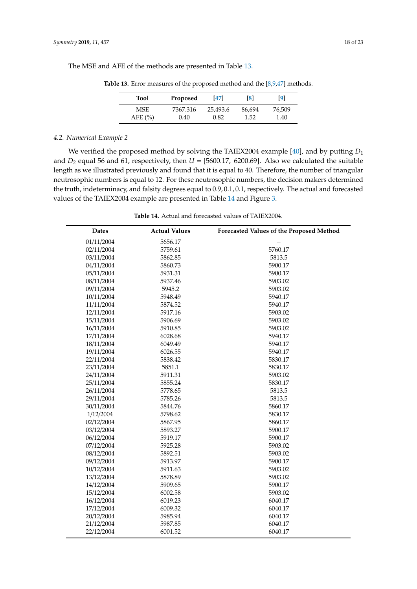<span id="page-17-0"></span>The MSE and AFE of the methods are presented in Table [13.](#page-17-0)

| <b>Tool</b> | Proposed | 471      | $\lceil 8 \rceil$ | 191    |
|-------------|----------|----------|-------------------|--------|
| <b>MSE</b>  | 7367.316 | 25,493.6 | 86,694            | 76,509 |
| AFE $(\% )$ | 0.40     | 0.82     | 1.52              | 1.40   |

**Table 13.** Error measures of the proposed method and the [\[8](#page-20-5)[,9,](#page-20-6)[47\]](#page-22-8) methods.

### *4.2. Numerical Example 2*

We verified the proposed method by solving the TAIEX2004 example [\[40\]](#page-22-1), and by putting  $D_1$ and  $D_2$  equal 56 and 61, respectively, then  $U = [5600.17, 6200.69]$ . Also we calculated the suitable length as we illustrated previously and found that it is equal to 40. Therefore, the number of triangular neutrosophic numbers is equal to 12. For these neutrosophic numbers, the decision makers determined the truth, indeterminacy, and falsity degrees equal to 0.9, 0.1, 0.1, respectively. The actual and forecasted values of the TAIEX2004 example are presented in Table [14](#page-18-0) and Figure [3.](#page-18-1)

**Table 14.** Actual and forecasted values of TAIEX2004.

| <b>Dates</b> | <b>Actual Values</b> | Forecasted Values of the Proposed Method |
|--------------|----------------------|------------------------------------------|
| 01/11/2004   | 5656.17              |                                          |
| 02/11/2004   | 5759.61              | 5760.17                                  |
| 03/11/2004   | 5862.85              | 5813.5                                   |
| 04/11/2004   | 5860.73              | 5900.17                                  |
| 05/11/2004   | 5931.31              | 5900.17                                  |
| 08/11/2004   | 5937.46              | 5903.02                                  |
| 09/11/2004   | 5945.2               | 5903.02                                  |
| 10/11/2004   | 5948.49              | 5940.17                                  |
| 11/11/2004   | 5874.52              | 5940.17                                  |
| 12/11/2004   | 5917.16              | 5903.02                                  |
| 15/11/2004   | 5906.69              | 5903.02                                  |
| 16/11/2004   | 5910.85              | 5903.02                                  |
| 17/11/2004   | 6028.68              | 5940.17                                  |
| 18/11/2004   | 6049.49              | 5940.17                                  |
| 19/11/2004   | 6026.55              | 5940.17                                  |
| 22/11/2004   | 5838.42              | 5830.17                                  |
| 23/11/2004   | 5851.1               | 5830.17                                  |
| 24/11/2004   | 5911.31              | 5903.02                                  |
| 25/11/2004   | 5855.24              | 5830.17                                  |
| 26/11/2004   | 5778.65              | 5813.5                                   |
| 29/11/2004   | 5785.26              | 5813.5                                   |
| 30/11/2004   | 5844.76              | 5860.17                                  |
| 1/12/2004    | 5798.62              | 5830.17                                  |
| 02/12/2004   | 5867.95              | 5860.17                                  |
| 03/12/2004   | 5893.27              | 5900.17                                  |
| 06/12/2004   | 5919.17              | 5900.17                                  |
| 07/12/2004   | 5925.28              | 5903.02                                  |
| 08/12/2004   | 5892.51              | 5903.02                                  |
| 09/12/2004   | 5913.97              | 5900.17                                  |
| 10/12/2004   | 5911.63              | 5903.02                                  |
| 13/12/2004   | 5878.89              | 5903.02                                  |
| 14/12/2004   | 5909.65              | 5900.17                                  |
| 15/12/2004   | 6002.58              | 5903.02                                  |
| 16/12/2004   | 6019.23              | 6040.17                                  |
| 17/12/2004   | 6009.32              | 6040.17                                  |
| 20/12/2004   | 5985.94              | 6040.17                                  |
| 21/12/2004   | 5987.85              | 6040.17                                  |
| 22/12/2004   | 6001.52              | 6040.17                                  |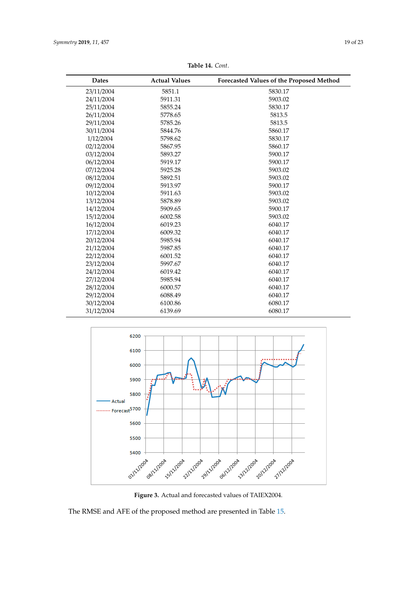<span id="page-18-0"></span>

| <b>Dates</b> | <b>Actual Values</b> | Forecasted Values of the Proposed Method |
|--------------|----------------------|------------------------------------------|
| 23/11/2004   | 5851.1               | 5830.17                                  |
| 24/11/2004   | 5911.31              | 5903.02                                  |
| 25/11/2004   | 5855.24              | 5830.17                                  |
| 26/11/2004   | 5778.65              | 5813.5                                   |
| 29/11/2004   | 5785.26              | 5813.5                                   |
| 30/11/2004   | 5844.76              | 5860.17                                  |
| 1/12/2004    | 5798.62              | 5830.17                                  |
| 02/12/2004   | 5867.95              | 5860.17                                  |
| 03/12/2004   | 5893.27              | 5900.17                                  |
| 06/12/2004   | 5919.17              | 5900.17                                  |
| 07/12/2004   | 5925.28              | 5903.02                                  |
| 08/12/2004   | 5892.51              | 5903.02                                  |
| 09/12/2004   | 5913.97              | 5900.17                                  |
| 10/12/2004   | 5911.63              | 5903.02                                  |
| 13/12/2004   | 5878.89              | 5903.02                                  |
| 14/12/2004   | 5909.65              | 5900.17                                  |
| 15/12/2004   | 6002.58              | 5903.02                                  |
| 16/12/2004   | 6019.23              | 6040.17                                  |
| 17/12/2004   | 6009.32              | 6040.17                                  |
| 20/12/2004   | 5985.94              | 6040.17                                  |
| 21/12/2004   | 5987.85              | 6040.17                                  |
| 22/12/2004   | 6001.52              | 6040.17                                  |
| 23/12/2004   | 5997.67              | 6040.17                                  |
| 24/12/2004   | 6019.42              | 6040.17                                  |
| 27/12/2004   | 5985.94              | 6040.17                                  |
| 28/12/2004   | 6000.57              | 6040.17                                  |
| 29/12/2004   | 6088.49              | 6040.17                                  |
| 30/12/2004   | 6100.86              | 6080.17                                  |
| 31/12/2004   | 6139.69              | 6080.17                                  |

**Table 14.** *Cont*.

<span id="page-18-1"></span>

**Figure 3.** Actual and forecasted values of TAIEX2004. **Figure 3.** Actual and forecasted values of TAIEX2004.

The RMSE and AFE of the proposed method are presented in Tabl[e 15](#page-19-0). The RMSE and AFE of the proposed method are presented in Table 15.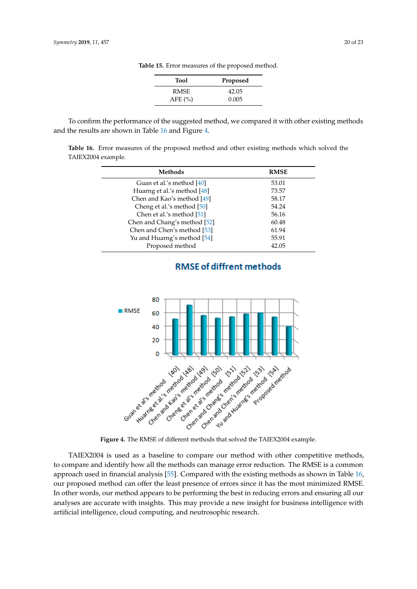**Tool Proposed** RMSE 42.05

AFE (%) 0.005

**Table 15.** Error measures of the proposed method.

<span id="page-19-0"></span>To confirm the performance of the suggested method, we compared it with other existing methods and the results are shown in Table [16](#page-19-1) and Figure [4.](#page-19-2)

<span id="page-19-1"></span>**Table 16.** Error measures of the proposed method and other existing methods which solved the TAIEX2004 example.

| Methods                      | <b>RMSE</b> |
|------------------------------|-------------|
| Guan et al.'s method [40]    | 53.01       |
| Huarng et al.'s method [48]  | 73.57       |
| Chen and Kao's method [49]   | 58.17       |
| Cheng et al.'s method [50]   | 54.24       |
| Chen et al.'s method [51]    | 56.16       |
| Chen and Chang's method [52] | 60.48       |
| Chen and Chen's method [53]  | 61.94       |
| Yu and Huarng's method [54]  | 55.91       |
| Proposed method              | 42.05       |

<span id="page-19-2"></span>

# **RMSE of diffrent methods**

to compare and identify how all the methods can manage error reduction. The RMSE is a common approach used in financial analysis [\[55\]](#page-22-16). Compared with the existing methods as shown in Table 16, our proposed method can offer the least presence of errors since it has the most minimized RMSE. In other words, our method appears to be performing the best in reducing errors and ensuring all our analyses are accurate with insights. This may provide a new insight for business intelligence with artificial intelligence, cloud computing, and neutrosophic research. TAIEX2004 is used as a baseline to compare our method with other competitive methods,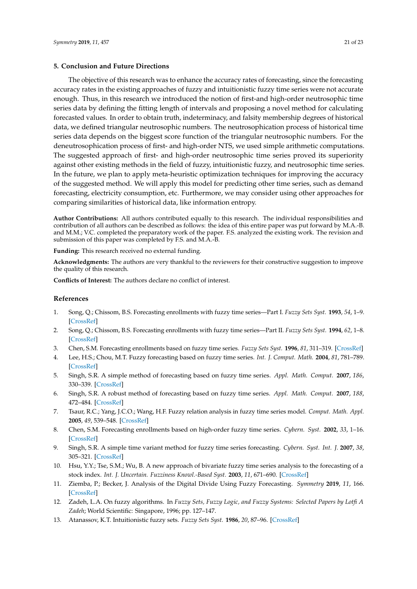#### <span id="page-20-11"></span>**5. Conclusion and Future Directions**

The objective of this research was to enhance the accuracy rates of forecasting, since the forecasting accuracy rates in the existing approaches of fuzzy and intuitionistic fuzzy time series were not accurate enough. Thus, in this research we introduced the notion of first-and high-order neutrosophic time series data by defining the fitting length of intervals and proposing a novel method for calculating forecasted values. In order to obtain truth, indeterminacy, and falsity membership degrees of historical data, we defined triangular neutrosophic numbers. The neutrosophication process of historical time series data depends on the biggest score function of the triangular neutrosophic numbers. For the deneutrosophication process of first- and high-order NTS, we used simple arithmetic computations. The suggested approach of first- and high-order neutrosophic time series proved its superiority against other existing methods in the field of fuzzy, intuitionistic fuzzy, and neutrosophic time series. In the future, we plan to apply meta-heuristic optimization techniques for improving the accuracy of the suggested method. We will apply this model for predicting other time series, such as demand forecasting, electricity consumption, etc. Furthermore, we may consider using other approaches for comparing similarities of historical data, like information entropy.

**Author Contributions:** All authors contributed equally to this research. The individual responsibilities and contribution of all authors can be described as follows: the idea of this entire paper was put forward by M.A.-B. and M.M.; V.C. completed the preparatory work of the paper. F.S. analyzed the existing work. The revision and submission of this paper was completed by F.S. and M.A.-B.

**Funding:** This research received no external funding.

**Acknowledgments:** The authors are very thankful to the reviewers for their constructive suggestion to improve the quality of this research.

**Conflicts of Interest:** The authors declare no conflict of interest.

#### **References**

- <span id="page-20-0"></span>1. Song, Q.; Chissom, B.S. Forecasting enrollments with fuzzy time series—Part I. *Fuzzy Sets Syst.* **1993**, *54*, 1–9. [\[CrossRef\]](http://dx.doi.org/10.1016/0165-0114(93)90355-L)
- <span id="page-20-1"></span>2. Song, Q.; Chissom, B.S. Forecasting enrollments with fuzzy time series—Part II. *Fuzzy Sets Syst.* **1994**, *62*, 1–8. [\[CrossRef\]](http://dx.doi.org/10.1016/0165-0114(94)90067-1)
- <span id="page-20-2"></span>3. Chen, S.M. Forecasting enrollments based on fuzzy time series. *Fuzzy Sets Syst.* **1996**, *81*, 311–319. [\[CrossRef\]](http://dx.doi.org/10.1016/0165-0114(95)00220-0)
- <span id="page-20-3"></span>4. Lee, H.S.; Chou, M.T. Fuzzy forecasting based on fuzzy time series. *Int. J. Comput. Math.* **2004**, *81*, 781–789. [\[CrossRef\]](http://dx.doi.org/10.1080/00207160410001712288)
- 5. Singh, S.R. A simple method of forecasting based on fuzzy time series. *Appl. Math. Comput.* **2007**, *186*, 330–339. [\[CrossRef\]](http://dx.doi.org/10.1016/j.amc.2006.07.128)
- 6. Singh, S.R. A robust method of forecasting based on fuzzy time series. *Appl. Math. Comput.* **2007**, *188*, 472–484. [\[CrossRef\]](http://dx.doi.org/10.1016/j.amc.2006.09.140)
- <span id="page-20-4"></span>7. Tsaur, R.C.; Yang, J.C.O.; Wang, H.F. Fuzzy relation analysis in fuzzy time series model. *Comput. Math. Appl.* **2005**, *49*, 539–548. [\[CrossRef\]](http://dx.doi.org/10.1016/j.camwa.2004.07.014)
- <span id="page-20-5"></span>8. Chen, S.M. Forecasting enrollments based on high-order fuzzy time series. *Cybern. Syst.* **2002**, *33*, 1–16. [\[CrossRef\]](http://dx.doi.org/10.1080/019697202753306479)
- <span id="page-20-6"></span>9. Singh, S.R. A simple time variant method for fuzzy time series forecasting. *Cybern. Syst. Int. J.* **2007**, *38*, 305–321. [\[CrossRef\]](http://dx.doi.org/10.1080/01969720601187354)
- <span id="page-20-7"></span>10. Hsu, Y.Y.; Tse, S.M.; Wu, B. A new approach of bivariate fuzzy time series analysis to the forecasting of a stock index. *Int. J. Uncertain. Fuzziness Knowl.-Based Syst.* **2003**, *11*, 671–690. [\[CrossRef\]](http://dx.doi.org/10.1142/S0218488503002478)
- <span id="page-20-8"></span>11. Ziemba, P.; Becker, J. Analysis of the Digital Divide Using Fuzzy Forecasting. *Symmetry* **2019**, *11*, 166. [\[CrossRef\]](http://dx.doi.org/10.3390/sym11020166)
- <span id="page-20-9"></span>12. Zadeh, L.A. On fuzzy algorithms. In *Fuzzy Sets, Fuzzy Logic, and Fuzzy Systems: Selected Papers by Lotfi A Zadeh*; World Scientific: Singapore, 1996; pp. 127–147.
- <span id="page-20-10"></span>13. Atanassov, K.T. Intuitionistic fuzzy sets. *Fuzzy Sets Syst.* **1986**, *20*, 87–96. [\[CrossRef\]](http://dx.doi.org/10.1016/S0165-0114(86)80034-3)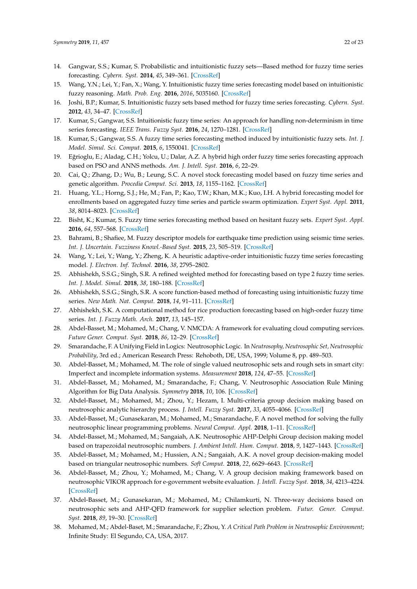- <span id="page-21-0"></span>14. Gangwar, S.S.; Kumar, S. Probabilistic and intuitionistic fuzzy sets—Based method for fuzzy time series forecasting. *Cybern. Syst.* **2014**, *45*, 349–361. [\[CrossRef\]](http://dx.doi.org/10.1080/01969722.2014.904135)
- <span id="page-21-1"></span>15. Wang, Y.N.; Lei, Y.; Fan, X.; Wang, Y. Intuitionistic fuzzy time series forecasting model based on intuitionistic fuzzy reasoning. *Math. Prob. Eng.* **2016**, *2016*, 5035160. [\[CrossRef\]](http://dx.doi.org/10.1155/2016/5035160)
- <span id="page-21-2"></span>16. Joshi, B.P.; Kumar, S. Intuitionistic fuzzy sets based method for fuzzy time series forecasting. *Cybern. Syst.* **2012**, *43*, 34–47. [\[CrossRef\]](http://dx.doi.org/10.1080/01969722.2012.637014)
- <span id="page-21-16"></span>17. Kumar, S.; Gangwar, S.S. Intuitionistic fuzzy time series: An approach for handling non-determinism in time series forecasting. *IEEE Trans. Fuzzy Syst.* **2016**, *24*, 1270–1281. [\[CrossRef\]](http://dx.doi.org/10.1109/TFUZZ.2015.2507582)
- <span id="page-21-3"></span>18. Kumar, S.; Gangwar, S.S. A fuzzy time series forecasting method induced by intuitionistic fuzzy sets. *Int. J. Model. Simul. Sci. Comput.* **2015**, *6*, 1550041. [\[CrossRef\]](http://dx.doi.org/10.1142/S1793962315500415)
- <span id="page-21-4"></span>19. Eğrioglu, E.; Aladag, C.H.; Yolcu, U.; Dalar, A.Z. A hybrid high order fuzzy time series forecasting approach based on PSO and ANNS methods. *Am. J. Intell. Syst.* **2016**, *6*, 22–29.
- <span id="page-21-5"></span>20. Cai, Q.; Zhang, D.; Wu, B.; Leung, S.C. A novel stock forecasting model based on fuzzy time series and genetic algorithm. *Procedia Comput. Sci.* **2013**, *18*, 1155–1162. [\[CrossRef\]](http://dx.doi.org/10.1016/j.procs.2013.05.281)
- <span id="page-21-6"></span>21. Huang, Y.L.; Horng, S.J.; He, M.; Fan, P.; Kao, T.W.; Khan, M.K.; Kuo, I.H. A hybrid forecasting model for enrollments based on aggregated fuzzy time series and particle swarm optimization. *Expert Syst. Appl.* **2011**, *38*, 8014–8023. [\[CrossRef\]](http://dx.doi.org/10.1016/j.eswa.2010.12.127)
- <span id="page-21-7"></span>22. Bisht, K.; Kumar, S. Fuzzy time series forecasting method based on hesitant fuzzy sets. *Expert Syst. Appl.* **2016**, *64*, 557–568. [\[CrossRef\]](http://dx.doi.org/10.1016/j.eswa.2016.07.044)
- <span id="page-21-8"></span>23. Bahrami, B.; Shafiee, M. Fuzzy descriptor models for earthquake time prediction using seismic time series. *Int. J. Uncertain. Fuzziness Knowl.-Based Syst.* **2015**, *23*, 505–519. [\[CrossRef\]](http://dx.doi.org/10.1142/S0218488515500221)
- <span id="page-21-9"></span>24. Wang, Y.; Lei, Y.; Wang, Y.; Zheng, K. A heuristic adaptive-order intuitionistic fuzzy time series forecasting model. *J. Electron. Inf. Technol.* **2016**, *38*, 2795–2802.
- <span id="page-21-10"></span>25. Abhishekh, S.S.G.; Singh, S.R. A refined weighted method for forecasting based on type 2 fuzzy time series. *Int. J. Model. Simul.* **2018**, *38*, 180–188. [\[CrossRef\]](http://dx.doi.org/10.1080/02286203.2017.1408948)
- <span id="page-21-11"></span>26. Abhishekh, S.S.G.; Singh, S.R. A score function-based method of forecasting using intuitionistic fuzzy time series. *New Math. Nat. Comput.* **2018**, *14*, 91–111. [\[CrossRef\]](http://dx.doi.org/10.1142/S1793005718500072)
- <span id="page-21-12"></span>27. Abhishekh, S.K. A computational method for rice production forecasting based on high-order fuzzy time series. *Int. J. Fuzzy Math. Arch.* **2017**, *13*, 145–157.
- <span id="page-21-13"></span>28. Abdel-Basset, M.; Mohamed, M.; Chang, V. NMCDA: A framework for evaluating cloud computing services. *Future Gener. Comput. Syst.* **2018**, *86*, 12–29. [\[CrossRef\]](http://dx.doi.org/10.1016/j.future.2018.03.014)
- <span id="page-21-14"></span>29. Smarandache, F. A Unifying Field in Logics: Neutrosophic Logic. In *Neutrosophy, Neutrosophic Set, Neutrosophic Probability*, 3rd ed.; American Research Press: Rehoboth, DE, USA, 1999; Volume 8, pp. 489–503.
- <span id="page-21-15"></span>30. Abdel-Basset, M.; Mohamed, M. The role of single valued neutrosophic sets and rough sets in smart city: Imperfect and incomplete information systems. *Measurement* **2018**, *124*, 47–55. [\[CrossRef\]](http://dx.doi.org/10.1016/j.measurement.2018.04.001)
- 31. Abdel-Basset, M.; Mohamed, M.; Smarandache, F.; Chang, V. Neutrosophic Association Rule Mining Algorithm for Big Data Analysis. *Symmetry* **2018**, *10*, 106. [\[CrossRef\]](http://dx.doi.org/10.3390/sym10040106)
- 32. Abdel-Basset, M.; Mohamed, M.; Zhou, Y.; Hezam, I. Multi-criteria group decision making based on neutrosophic analytic hierarchy process. *J. Intell. Fuzzy Syst.* **2017**, *33*, 4055–4066. [\[CrossRef\]](http://dx.doi.org/10.3233/JIFS-17981)
- 33. Abdel-Basset, M.; Gunasekaran, M.; Mohamed, M.; Smarandache, F. A novel method for solving the fully neutrosophic linear programming problems. *Neural Comput. Appl.* **2018**, 1–11. [\[CrossRef\]](http://dx.doi.org/10.1007/s00521-018-3404-6)
- 34. Abdel-Basset, M.; Mohamed, M.; Sangaiah, A.K. Neutrosophic AHP-Delphi Group decision making model based on trapezoidal neutrosophic numbers. *J. Ambient Intell. Hum. Comput.* **2018**, *9*, 1427–1443. [\[CrossRef\]](http://dx.doi.org/10.1007/s12652-017-0548-7)
- 35. Abdel-Basset, M.; Mohamed, M.; Hussien, A.N.; Sangaiah, A.K. A novel group decision-making model based on triangular neutrosophic numbers. *Soft Comput.* **2018**, *22*, 6629–6643. [\[CrossRef\]](http://dx.doi.org/10.1007/s00500-017-2758-5)
- 36. Abdel-Basset, M.; Zhou, Y.; Mohamed, M.; Chang, V. A group decision making framework based on neutrosophic VIKOR approach for e-government website evaluation. *J. Intell. Fuzzy Syst.* **2018**, *34*, 4213–4224. [\[CrossRef\]](http://dx.doi.org/10.3233/JIFS-171952)
- 37. Abdel-Basset, M.; Gunasekaran, M.; Mohamed, M.; Chilamkurti, N. Three-way decisions based on neutrosophic sets and AHP-QFD framework for supplier selection problem. *Futur. Gener. Comput. Syst.* **2018**, *89*, 19–30. [\[CrossRef\]](http://dx.doi.org/10.1016/j.future.2018.06.024)
- 38. Mohamed, M.; Abdel-Baset, M.; Smarandache, F.; Zhou, Y. *A Critical Path Problem in Neutrosophic Environment*; Infinite Study: El Segundo, CA, USA, 2017.